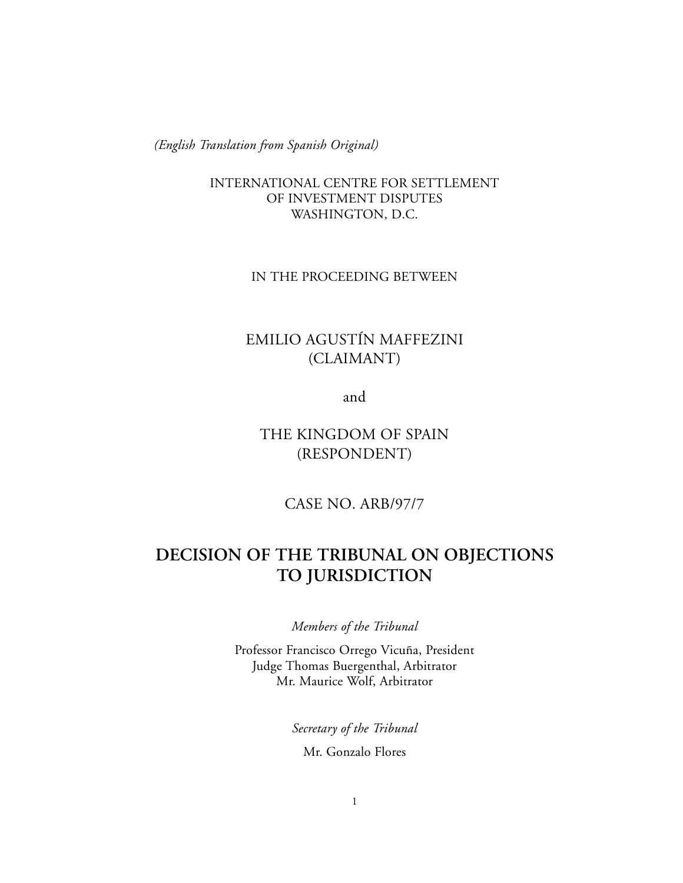*(English Translation from Spanish Original)*

INTERNATIONAL CENTRE FOR SETTLEMENT OF INVESTMENT DISPUTES WASHINGTON, D.C.

## IN THE PROCEEDING BETWEEN

# EMILIO AGUSTÍN MAFFEZINI (CLAIMANT)

and

THE KINGDOM OF SPAIN (RESPONDENT)

CASE NO. ARB/97/7

# **DECISION OF THE TRIBUNAL ON OBJECTIONS TO JURISDICTION**

*Members of the Tribunal*

Professor Francisco Orrego Vicuña, President Judge Thomas Buergenthal, Arbitrator Mr. Maurice Wolf, Arbitrator

*Secretary of the Tribunal*

Mr. Gonzalo Flores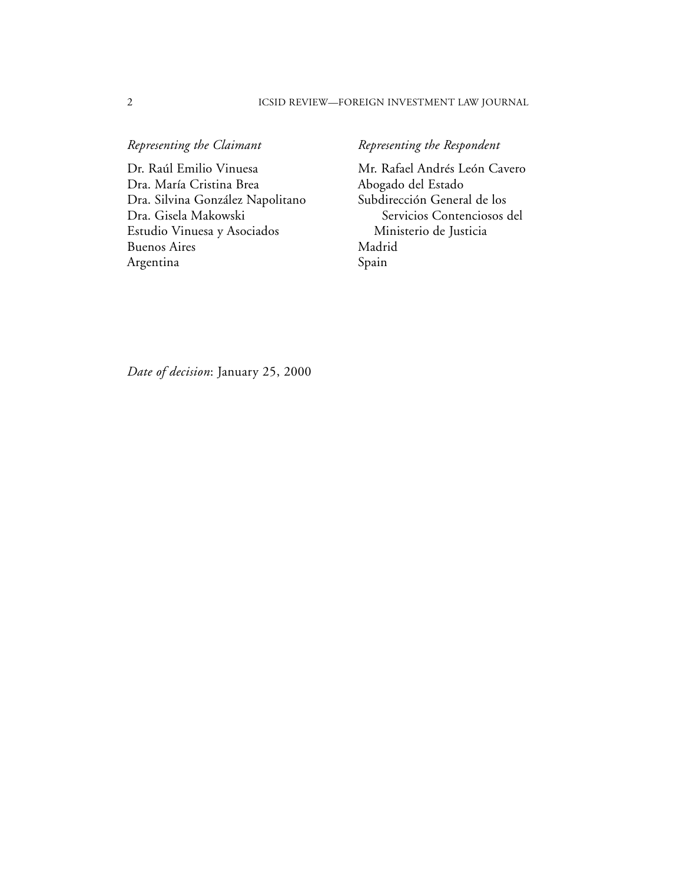#### 2 ICSID REVIEW—FOREIGN INVESTMENT LAW JOURNAL

Dr. Raúl Emilio Vinuesa Mr. Rafael Andrés León Cavero<br>Dra. María Cristina Brea Abogado del Estado Dra. María Cristina Brea Abogado del Estado Dra. Silvina González Napolitano Dra. Gisela Makowski Servicios Contenciosos del Estudio Vinuesa y Asociados Ministerio de Justicia Buenos Aires Madrid Argentina Spain

## *Representing the Claimant* **Representing the Respondent**

*Date of decision*: January 25, 2000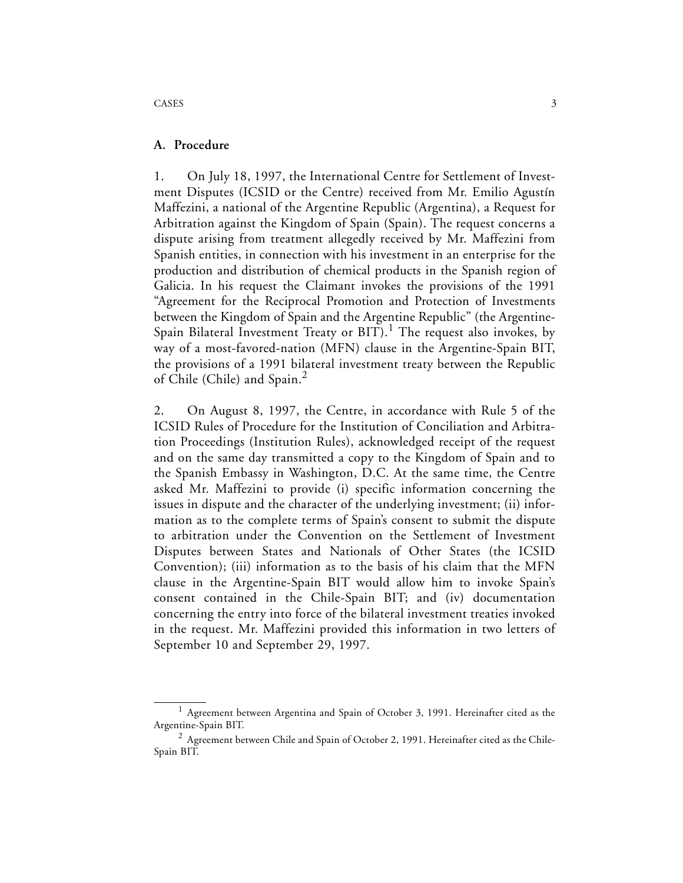### **A. Procedure**

1. On July 18, 1997, the International Centre for Settlement of Investment Disputes (ICSID or the Centre) received from Mr. Emilio Agustín Maffezini, a national of the Argentine Republic (Argentina), a Request for Arbitration against the Kingdom of Spain (Spain). The request concerns a dispute arising from treatment allegedly received by Mr. Maffezini from Spanish entities, in connection with his investment in an enterprise for the production and distribution of chemical products in the Spanish region of Galicia. In his request the Claimant invokes the provisions of the 1991 "Agreement for the Reciprocal Promotion and Protection of Investments between the Kingdom of Spain and the Argentine Republic" (the Argentine-Spain Bilateral Investment Treaty or  $BIT$ ).<sup>1</sup> The request also invokes, by way of a most-favored-nation (MFN) clause in the Argentine-Spain BIT, the provisions of a 1991 bilateral investment treaty between the Republic of Chile (Chile) and Spain.<sup>2</sup>

2. On August 8, 1997, the Centre, in accordance with Rule 5 of the ICSID Rules of Procedure for the Institution of Conciliation and Arbitration Proceedings (Institution Rules), acknowledged receipt of the request and on the same day transmitted a copy to the Kingdom of Spain and to the Spanish Embassy in Washington, D.C. At the same time, the Centre asked Mr. Maffezini to provide (i) specific information concerning the issues in dispute and the character of the underlying investment; (ii) information as to the complete terms of Spain's consent to submit the dispute to arbitration under the Convention on the Settlement of Investment Disputes between States and Nationals of Other States (the ICSID Convention); (iii) information as to the basis of his claim that the MFN clause in the Argentine-Spain BIT would allow him to invoke Spain's consent contained in the Chile-Spain BIT; and (iv) documentation concerning the entry into force of the bilateral investment treaties invoked in the request. Mr. Maffezini provided this information in two letters of September 10 and September 29, 1997.

<sup>&</sup>lt;sup>1</sup> Agreement between Argentina and Spain of October 3, 1991. Hereinafter cited as the Argentine-Spain BIT.

 $2$  Agreement between Chile and Spain of October 2, 1991. Hereinafter cited as the Chile-Spain BIT.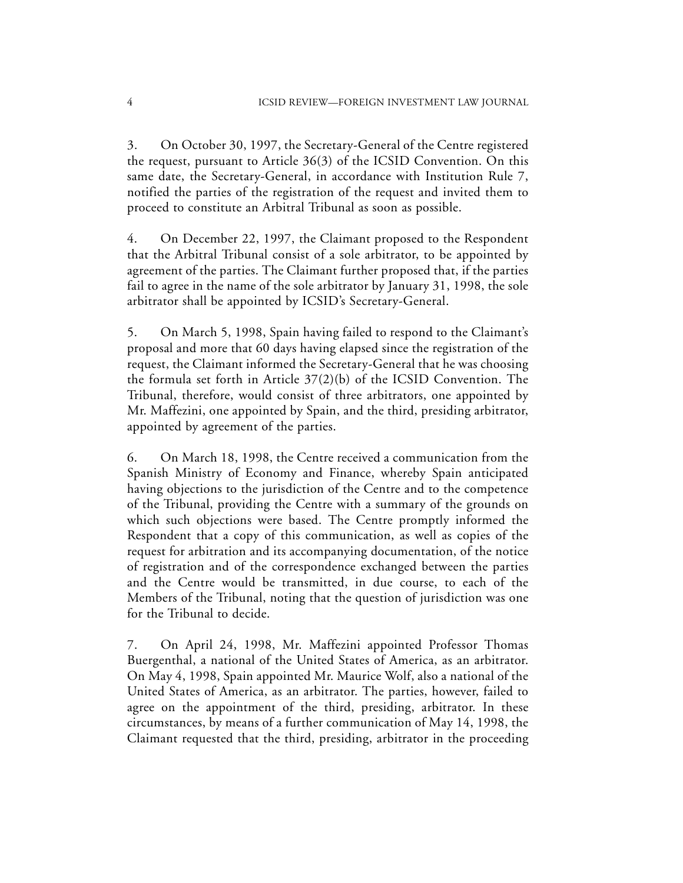3. On October 30, 1997, the Secretary-General of the Centre registered the request, pursuant to Article 36(3) of the ICSID Convention. On this same date, the Secretary-General, in accordance with Institution Rule 7, notified the parties of the registration of the request and invited them to proceed to constitute an Arbitral Tribunal as soon as possible.

4. On December 22, 1997, the Claimant proposed to the Respondent that the Arbitral Tribunal consist of a sole arbitrator, to be appointed by agreement of the parties. The Claimant further proposed that, if the parties fail to agree in the name of the sole arbitrator by January 31, 1998, the sole arbitrator shall be appointed by ICSID's Secretary-General.

5. On March 5, 1998, Spain having failed to respond to the Claimant's proposal and more that 60 days having elapsed since the registration of the request, the Claimant informed the Secretary-General that he was choosing the formula set forth in Article 37(2)(b) of the ICSID Convention. The Tribunal, therefore, would consist of three arbitrators, one appointed by Mr. Maffezini, one appointed by Spain, and the third, presiding arbitrator, appointed by agreement of the parties.

6. On March 18, 1998, the Centre received a communication from the Spanish Ministry of Economy and Finance, whereby Spain anticipated having objections to the jurisdiction of the Centre and to the competence of the Tribunal, providing the Centre with a summary of the grounds on which such objections were based. The Centre promptly informed the Respondent that a copy of this communication, as well as copies of the request for arbitration and its accompanying documentation, of the notice of registration and of the correspondence exchanged between the parties and the Centre would be transmitted, in due course, to each of the Members of the Tribunal, noting that the question of jurisdiction was one for the Tribunal to decide.

7. On April 24, 1998, Mr. Maffezini appointed Professor Thomas Buergenthal, a national of the United States of America, as an arbitrator. On May 4, 1998, Spain appointed Mr. Maurice Wolf, also a national of the United States of America, as an arbitrator. The parties, however, failed to agree on the appointment of the third, presiding, arbitrator. In these circumstances, by means of a further communication of May 14, 1998, the Claimant requested that the third, presiding, arbitrator in the proceeding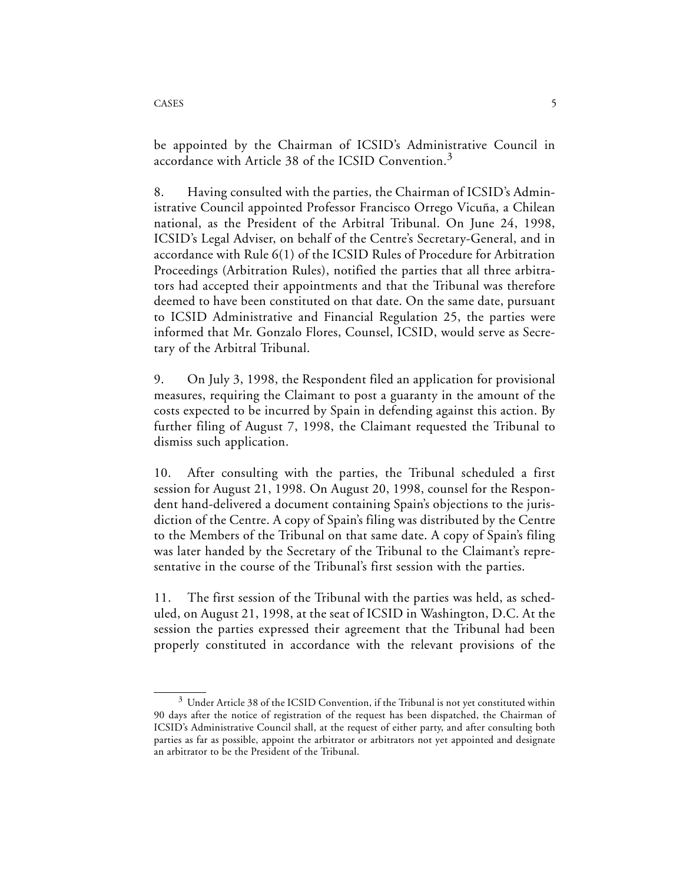be appointed by the Chairman of ICSID's Administrative Council in accordance with Article 38 of the ICSID Convention.<sup>3</sup>

8. Having consulted with the parties, the Chairman of ICSID's Administrative Council appointed Professor Francisco Orrego Vicuña, a Chilean national, as the President of the Arbitral Tribunal. On June 24, 1998, ICSID's Legal Adviser, on behalf of the Centre's Secretary-General, and in accordance with Rule 6(1) of the ICSID Rules of Procedure for Arbitration Proceedings (Arbitration Rules), notified the parties that all three arbitrators had accepted their appointments and that the Tribunal was therefore deemed to have been constituted on that date. On the same date, pursuant to ICSID Administrative and Financial Regulation 25, the parties were informed that Mr. Gonzalo Flores, Counsel, ICSID, would serve as Secretary of the Arbitral Tribunal.

9. On July 3, 1998, the Respondent filed an application for provisional measures, requiring the Claimant to post a guaranty in the amount of the costs expected to be incurred by Spain in defending against this action. By further filing of August 7, 1998, the Claimant requested the Tribunal to dismiss such application.

10. After consulting with the parties, the Tribunal scheduled a first session for August 21, 1998. On August 20, 1998, counsel for the Respondent hand-delivered a document containing Spain's objections to the jurisdiction of the Centre. A copy of Spain's filing was distributed by the Centre to the Members of the Tribunal on that same date. A copy of Spain's filing was later handed by the Secretary of the Tribunal to the Claimant's representative in the course of the Tribunal's first session with the parties.

11. The first session of the Tribunal with the parties was held, as scheduled, on August 21, 1998, at the seat of ICSID in Washington, D.C. At the session the parties expressed their agreement that the Tribunal had been properly constituted in accordance with the relevant provisions of the

 $3$  Under Article 38 of the ICSID Convention, if the Tribunal is not yet constituted within 90 days after the notice of registration of the request has been dispatched, the Chairman of ICSID's Administrative Council shall, at the request of either party, and after consulting both parties as far as possible, appoint the arbitrator or arbitrators not yet appointed and designate an arbitrator to be the President of the Tribunal.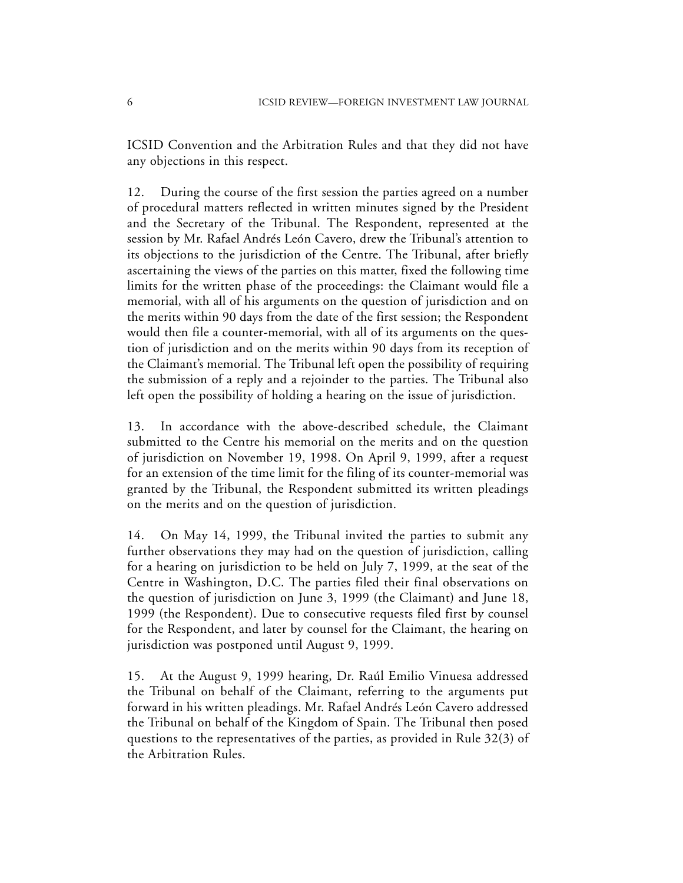ICSID Convention and the Arbitration Rules and that they did not have any objections in this respect.

12. During the course of the first session the parties agreed on a number of procedural matters reflected in written minutes signed by the President and the Secretary of the Tribunal. The Respondent, represented at the session by Mr. Rafael Andrés León Cavero, drew the Tribunal's attention to its objections to the jurisdiction of the Centre. The Tribunal, after briefly ascertaining the views of the parties on this matter, fixed the following time limits for the written phase of the proceedings: the Claimant would file a memorial, with all of his arguments on the question of jurisdiction and on the merits within 90 days from the date of the first session; the Respondent would then file a counter-memorial, with all of its arguments on the question of jurisdiction and on the merits within 90 days from its reception of the Claimant's memorial. The Tribunal left open the possibility of requiring the submission of a reply and a rejoinder to the parties. The Tribunal also left open the possibility of holding a hearing on the issue of jurisdiction.

13. In accordance with the above-described schedule, the Claimant submitted to the Centre his memorial on the merits and on the question of jurisdiction on November 19, 1998. On April 9, 1999, after a request for an extension of the time limit for the filing of its counter-memorial was granted by the Tribunal, the Respondent submitted its written pleadings on the merits and on the question of jurisdiction.

14. On May 14, 1999, the Tribunal invited the parties to submit any further observations they may had on the question of jurisdiction, calling for a hearing on jurisdiction to be held on July 7, 1999, at the seat of the Centre in Washington, D.C. The parties filed their final observations on the question of jurisdiction on June 3, 1999 (the Claimant) and June 18, 1999 (the Respondent). Due to consecutive requests filed first by counsel for the Respondent, and later by counsel for the Claimant, the hearing on jurisdiction was postponed until August 9, 1999.

15. At the August 9, 1999 hearing, Dr. Raúl Emilio Vinuesa addressed the Tribunal on behalf of the Claimant, referring to the arguments put forward in his written pleadings. Mr. Rafael Andrés León Cavero addressed the Tribunal on behalf of the Kingdom of Spain. The Tribunal then posed questions to the representatives of the parties, as provided in Rule 32(3) of the Arbitration Rules.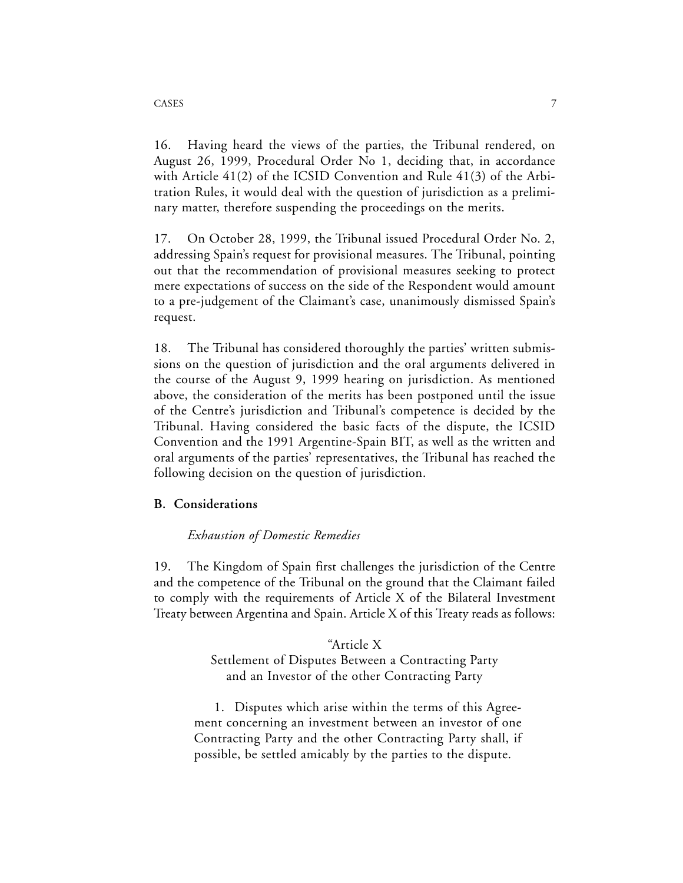16. Having heard the views of the parties, the Tribunal rendered, on August 26, 1999, Procedural Order No 1, deciding that, in accordance with Article 41(2) of the ICSID Convention and Rule 41(3) of the Arbitration Rules, it would deal with the question of jurisdiction as a preliminary matter, therefore suspending the proceedings on the merits.

17. On October 28, 1999, the Tribunal issued Procedural Order No. 2, addressing Spain's request for provisional measures. The Tribunal, pointing out that the recommendation of provisional measures seeking to protect mere expectations of success on the side of the Respondent would amount to a pre-judgement of the Claimant's case, unanimously dismissed Spain's request.

18. The Tribunal has considered thoroughly the parties' written submissions on the question of jurisdiction and the oral arguments delivered in the course of the August 9, 1999 hearing on jurisdiction. As mentioned above, the consideration of the merits has been postponed until the issue of the Centre's jurisdiction and Tribunal's competence is decided by the Tribunal. Having considered the basic facts of the dispute, the ICSID Convention and the 1991 Argentine-Spain BIT, as well as the written and oral arguments of the parties' representatives, the Tribunal has reached the following decision on the question of jurisdiction.

## **B. Considerations**

## *Exhaustion of Domestic Remedies*

19. The Kingdom of Spain first challenges the jurisdiction of the Centre and the competence of the Tribunal on the ground that the Claimant failed to comply with the requirements of Article X of the Bilateral Investment Treaty between Argentina and Spain. Article X of this Treaty reads as follows:

> "Article X Settlement of Disputes Between a Contracting Party and an Investor of the other Contracting Party

1. Disputes which arise within the terms of this Agreement concerning an investment between an investor of one Contracting Party and the other Contracting Party shall, if possible, be settled amicably by the parties to the dispute.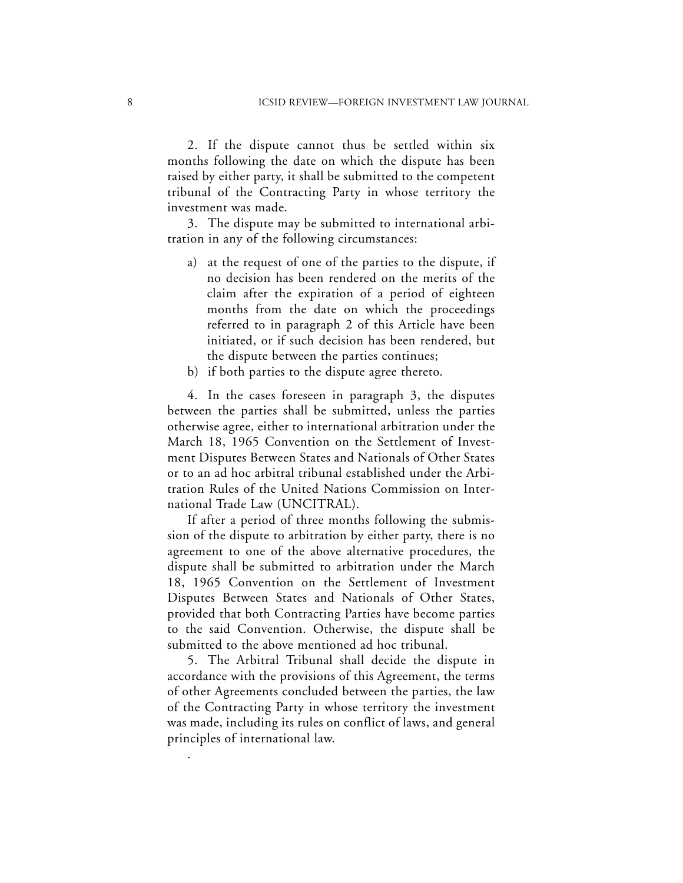2. If the dispute cannot thus be settled within six months following the date on which the dispute has been raised by either party, it shall be submitted to the competent tribunal of the Contracting Party in whose territory the investment was made.

3. The dispute may be submitted to international arbitration in any of the following circumstances:

- a) at the request of one of the parties to the dispute, if no decision has been rendered on the merits of the claim after the expiration of a period of eighteen months from the date on which the proceedings referred to in paragraph 2 of this Article have been initiated, or if such decision has been rendered, but the dispute between the parties continues;
- b) if both parties to the dispute agree thereto.

4. In the cases foreseen in paragraph 3, the disputes between the parties shall be submitted, unless the parties otherwise agree, either to international arbitration under the March 18, 1965 Convention on the Settlement of Investment Disputes Between States and Nationals of Other States or to an ad hoc arbitral tribunal established under the Arbitration Rules of the United Nations Commission on International Trade Law (UNCITRAL).

If after a period of three months following the submission of the dispute to arbitration by either party, there is no agreement to one of the above alternative procedures, the dispute shall be submitted to arbitration under the March 18, 1965 Convention on the Settlement of Investment Disputes Between States and Nationals of Other States, provided that both Contracting Parties have become parties to the said Convention. Otherwise, the dispute shall be submitted to the above mentioned ad hoc tribunal.

5. The Arbitral Tribunal shall decide the dispute in accordance with the provisions of this Agreement, the terms of other Agreements concluded between the parties, the law of the Contracting Party in whose territory the investment was made, including its rules on conflict of laws, and general principles of international law.

.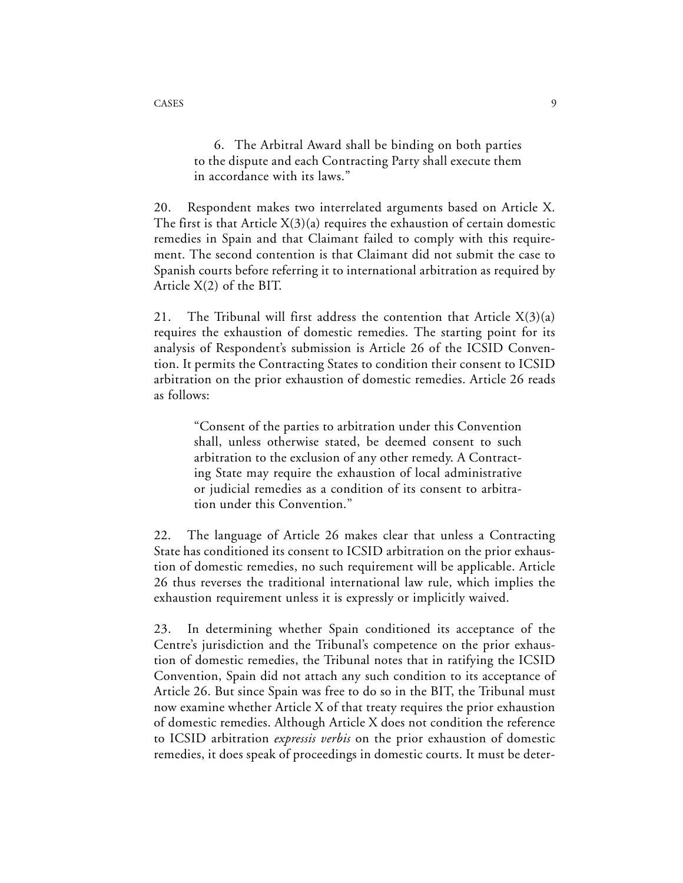6. The Arbitral Award shall be binding on both parties to the dispute and each Contracting Party shall execute them in accordance with its laws."

20. Respondent makes two interrelated arguments based on Article X. The first is that Article  $X(3)(a)$  requires the exhaustion of certain domestic remedies in Spain and that Claimant failed to comply with this requirement. The second contention is that Claimant did not submit the case to Spanish courts before referring it to international arbitration as required by Article X(2) of the BIT.

21. The Tribunal will first address the contention that Article  $X(3)(a)$ requires the exhaustion of domestic remedies. The starting point for its analysis of Respondent's submission is Article 26 of the ICSID Convention. It permits the Contracting States to condition their consent to ICSID arbitration on the prior exhaustion of domestic remedies. Article 26 reads as follows:

"Consent of the parties to arbitration under this Convention shall, unless otherwise stated, be deemed consent to such arbitration to the exclusion of any other remedy. A Contracting State may require the exhaustion of local administrative or judicial remedies as a condition of its consent to arbitration under this Convention."

22. The language of Article 26 makes clear that unless a Contracting State has conditioned its consent to ICSID arbitration on the prior exhaustion of domestic remedies, no such requirement will be applicable. Article 26 thus reverses the traditional international law rule, which implies the exhaustion requirement unless it is expressly or implicitly waived.

23. In determining whether Spain conditioned its acceptance of the Centre's jurisdiction and the Tribunal's competence on the prior exhaustion of domestic remedies, the Tribunal notes that in ratifying the ICSID Convention, Spain did not attach any such condition to its acceptance of Article 26. But since Spain was free to do so in the BIT, the Tribunal must now examine whether Article X of that treaty requires the prior exhaustion of domestic remedies. Although Article X does not condition the reference to ICSID arbitration *expressis verbis* on the prior exhaustion of domestic remedies, it does speak of proceedings in domestic courts. It must be deter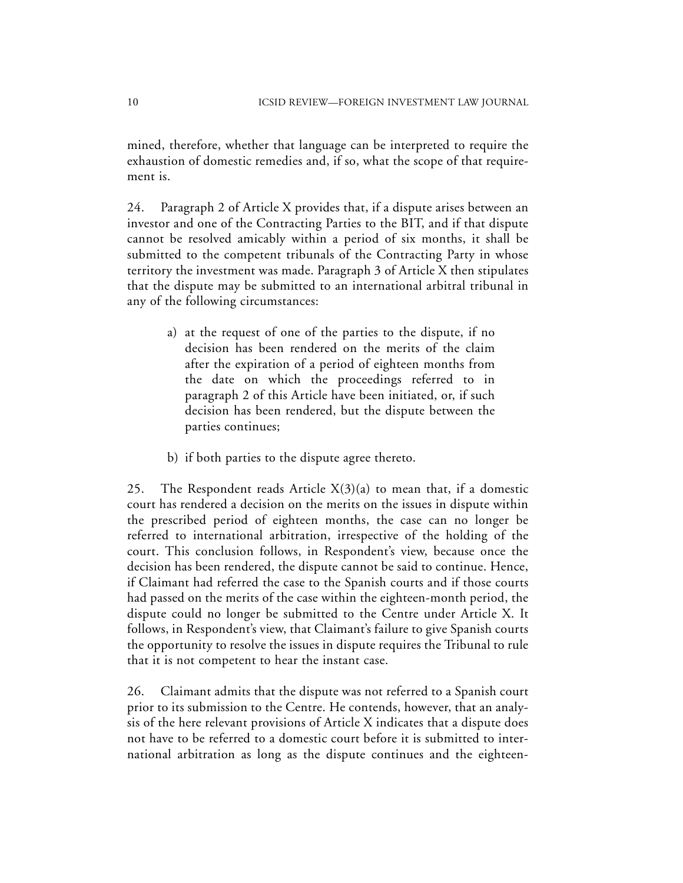mined, therefore, whether that language can be interpreted to require the exhaustion of domestic remedies and, if so, what the scope of that requirement is.

24. Paragraph 2 of Article X provides that, if a dispute arises between an investor and one of the Contracting Parties to the BIT, and if that dispute cannot be resolved amicably within a period of six months, it shall be submitted to the competent tribunals of the Contracting Party in whose territory the investment was made. Paragraph 3 of Article X then stipulates that the dispute may be submitted to an international arbitral tribunal in any of the following circumstances:

- a) at the request of one of the parties to the dispute, if no decision has been rendered on the merits of the claim after the expiration of a period of eighteen months from the date on which the proceedings referred to in paragraph 2 of this Article have been initiated, or, if such decision has been rendered, but the dispute between the parties continues;
- b) if both parties to the dispute agree thereto.

25. The Respondent reads Article  $X(3)(a)$  to mean that, if a domestic court has rendered a decision on the merits on the issues in dispute within the prescribed period of eighteen months, the case can no longer be referred to international arbitration, irrespective of the holding of the court. This conclusion follows, in Respondent's view, because once the decision has been rendered, the dispute cannot be said to continue. Hence, if Claimant had referred the case to the Spanish courts and if those courts had passed on the merits of the case within the eighteen-month period, the dispute could no longer be submitted to the Centre under Article X. It follows, in Respondent's view, that Claimant's failure to give Spanish courts the opportunity to resolve the issues in dispute requires the Tribunal to rule that it is not competent to hear the instant case.

26. Claimant admits that the dispute was not referred to a Spanish court prior to its submission to the Centre. He contends, however, that an analysis of the here relevant provisions of Article X indicates that a dispute does not have to be referred to a domestic court before it is submitted to international arbitration as long as the dispute continues and the eighteen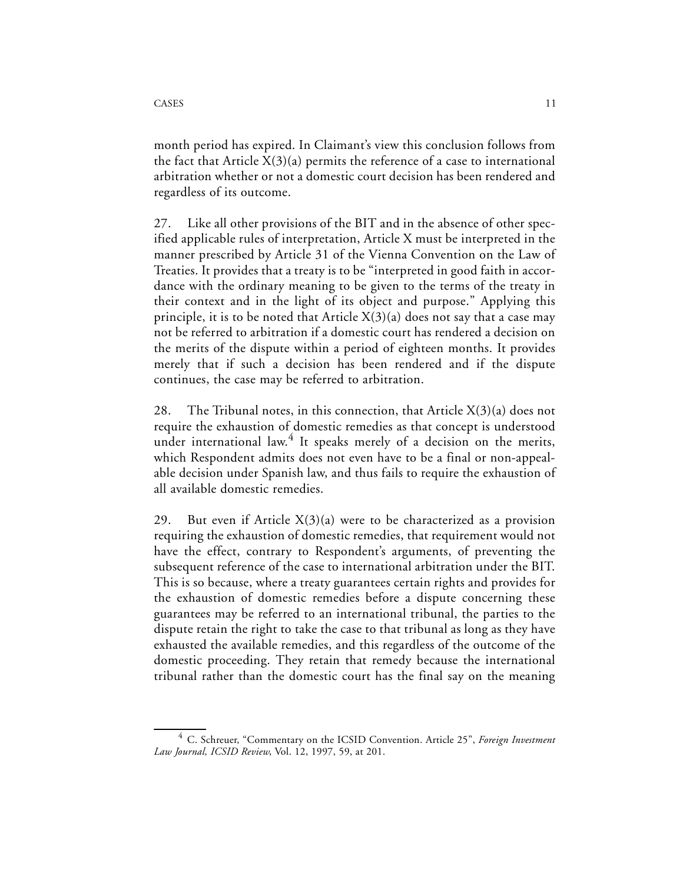month period has expired. In Claimant's view this conclusion follows from the fact that Article X(3)(a) permits the reference of a case to international arbitration whether or not a domestic court decision has been rendered and regardless of its outcome.

27. Like all other provisions of the BIT and in the absence of other specified applicable rules of interpretation, Article X must be interpreted in the manner prescribed by Article 31 of the Vienna Convention on the Law of Treaties. It provides that a treaty is to be "interpreted in good faith in accordance with the ordinary meaning to be given to the terms of the treaty in their context and in the light of its object and purpose." Applying this principle, it is to be noted that Article  $X(3)(a)$  does not say that a case may not be referred to arbitration if a domestic court has rendered a decision on the merits of the dispute within a period of eighteen months. It provides merely that if such a decision has been rendered and if the dispute continues, the case may be referred to arbitration.

28. The Tribunal notes, in this connection, that Article  $X(3)(a)$  does not require the exhaustion of domestic remedies as that concept is understood under international law.<sup>4</sup> It speaks merely of a decision on the merits, which Respondent admits does not even have to be a final or non-appealable decision under Spanish law, and thus fails to require the exhaustion of all available domestic remedies.

29. But even if Article  $X(3)(a)$  were to be characterized as a provision requiring the exhaustion of domestic remedies, that requirement would not have the effect, contrary to Respondent's arguments, of preventing the subsequent reference of the case to international arbitration under the BIT. This is so because, where a treaty guarantees certain rights and provides for the exhaustion of domestic remedies before a dispute concerning these guarantees may be referred to an international tribunal, the parties to the dispute retain the right to take the case to that tribunal as long as they have exhausted the available remedies, and this regardless of the outcome of the domestic proceeding. They retain that remedy because the international tribunal rather than the domestic court has the final say on the meaning

<sup>4</sup> C. Schreuer, "Commentary on the ICSID Convention. Article 25", *Foreign Investment Law Journal, ICSID Review*, Vol. 12, 1997, 59, at 201.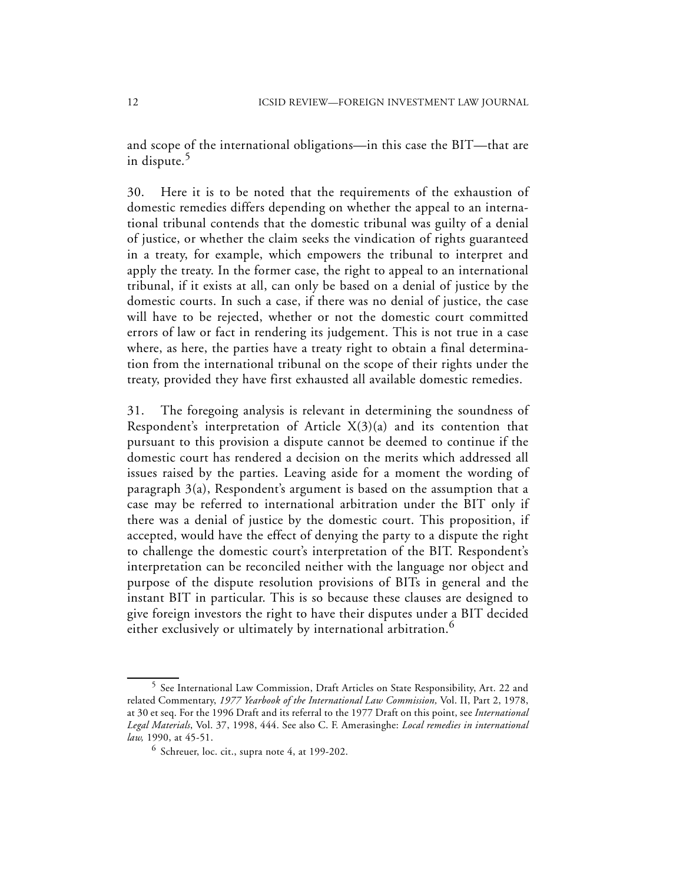and scope of the international obligations—in this case the BIT—that are in dispute.<sup>5</sup>

30. Here it is to be noted that the requirements of the exhaustion of domestic remedies differs depending on whether the appeal to an international tribunal contends that the domestic tribunal was guilty of a denial of justice, or whether the claim seeks the vindication of rights guaranteed in a treaty, for example, which empowers the tribunal to interpret and apply the treaty. In the former case, the right to appeal to an international tribunal, if it exists at all, can only be based on a denial of justice by the domestic courts. In such a case, if there was no denial of justice, the case will have to be rejected, whether or not the domestic court committed errors of law or fact in rendering its judgement. This is not true in a case where, as here, the parties have a treaty right to obtain a final determination from the international tribunal on the scope of their rights under the treaty, provided they have first exhausted all available domestic remedies.

31. The foregoing analysis is relevant in determining the soundness of Respondent's interpretation of Article  $X(3)(a)$  and its contention that pursuant to this provision a dispute cannot be deemed to continue if the domestic court has rendered a decision on the merits which addressed all issues raised by the parties. Leaving aside for a moment the wording of paragraph 3(a), Respondent's argument is based on the assumption that a case may be referred to international arbitration under the BIT only if there was a denial of justice by the domestic court. This proposition, if accepted, would have the effect of denying the party to a dispute the right to challenge the domestic court's interpretation of the BIT. Respondent's interpretation can be reconciled neither with the language nor object and purpose of the dispute resolution provisions of BITs in general and the instant BIT in particular. This is so because these clauses are designed to give foreign investors the right to have their disputes under a BIT decided either exclusively or ultimately by international arbitration.<sup>6</sup>

<sup>5</sup> See International Law Commission, Draft Articles on State Responsibility, Art. 22 and related Commentary, *1977 Yearbook of the International Law Commission,* Vol. II, Part 2, 1978, at 30 et seq. For the 1996 Draft and its referral to the 1977 Draft on this point, see *International Legal Materials*, Vol. 37, 1998, 444. See also C. F. Amerasinghe: *Local remedies in international law,* 1990, at 45-51.

 $6$  Schreuer, loc. cit., supra note 4, at 199-202.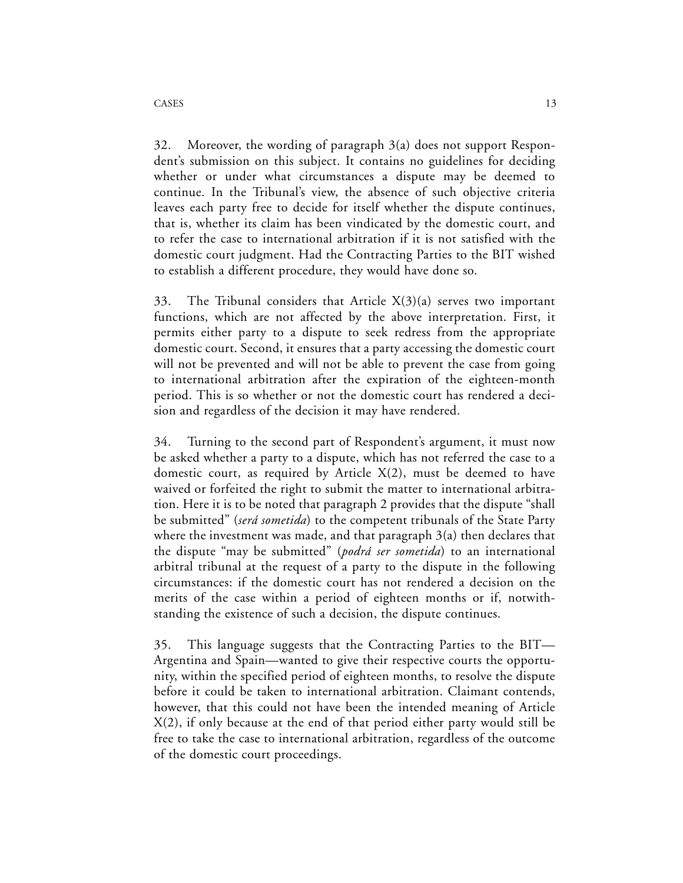32. Moreover, the wording of paragraph 3(a) does not support Respondent's submission on this subject. It contains no guidelines for deciding whether or under what circumstances a dispute may be deemed to continue. In the Tribunal's view, the absence of such objective criteria leaves each party free to decide for itself whether the dispute continues, that is, whether its claim has been vindicated by the domestic court, and to refer the case to international arbitration if it is not satisfied with the domestic court judgment. Had the Contracting Parties to the BIT wished to establish a different procedure, they would have done so.

33. The Tribunal considers that Article  $X(3)(a)$  serves two important functions, which are not affected by the above interpretation. First, it permits either party to a dispute to seek redress from the appropriate domestic court. Second, it ensures that a party accessing the domestic court will not be prevented and will not be able to prevent the case from going to international arbitration after the expiration of the eighteen-month period. This is so whether or not the domestic court has rendered a decision and regardless of the decision it may have rendered.

34. Turning to the second part of Respondent's argument, it must now be asked whether a party to a dispute, which has not referred the case to a domestic court, as required by Article X(2), must be deemed to have waived or forfeited the right to submit the matter to international arbitration. Here it is to be noted that paragraph 2 provides that the dispute "shall be submitted" (*será sometida*) to the competent tribunals of the State Party where the investment was made, and that paragraph  $3(a)$  then declares that the dispute "may be submitted" (*podrá ser sometida*) to an international arbitral tribunal at the request of a party to the dispute in the following circumstances: if the domestic court has not rendered a decision on the merits of the case within a period of eighteen months or if, notwithstanding the existence of such a decision, the dispute continues.

35. This language suggests that the Contracting Parties to the BIT— Argentina and Spain—wanted to give their respective courts the opportunity, within the specified period of eighteen months, to resolve the dispute before it could be taken to international arbitration. Claimant contends, however, that this could not have been the intended meaning of Article X(2), if only because at the end of that period either party would still be free to take the case to international arbitration, regardless of the outcome of the domestic court proceedings.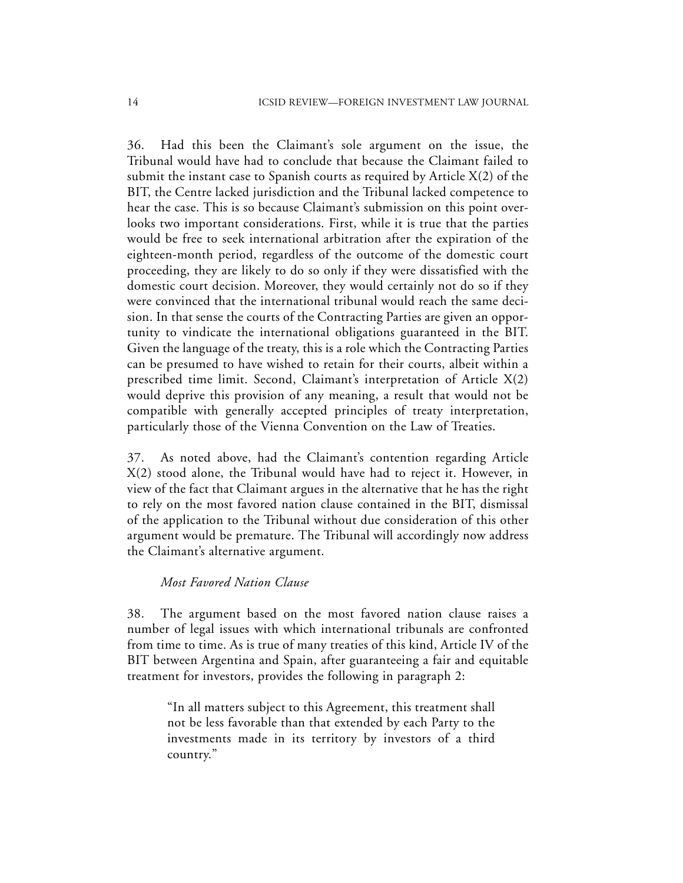36. Had this been the Claimant's sole argument on the issue, the Tribunal would have had to conclude that because the Claimant failed to submit the instant case to Spanish courts as required by Article  $X(2)$  of the BIT, the Centre lacked jurisdiction and the Tribunal lacked competence to hear the case. This is so because Claimant's submission on this point overlooks two important considerations. First, while it is true that the parties would be free to seek international arbitration after the expiration of the eighteen-month period, regardless of the outcome of the domestic court proceeding, they are likely to do so only if they were dissatisfied with the domestic court decision. Moreover, they would certainly not do so if they were convinced that the international tribunal would reach the same decision. In that sense the courts of the Contracting Parties are given an opportunity to vindicate the international obligations guaranteed in the BIT. Given the language of the treaty, this is a role which the Contracting Parties can be presumed to have wished to retain for their courts, albeit within a prescribed time limit. Second, Claimant's interpretation of Article X(2) would deprive this provision of any meaning, a result that would not be compatible with generally accepted principles of treaty interpretation, particularly those of the Vienna Convention on the Law of Treaties.

37. As noted above, had the Claimant's contention regarding Article X(2) stood alone, the Tribunal would have had to reject it. However, in view of the fact that Claimant argues in the alternative that he has the right to rely on the most favored nation clause contained in the BIT, dismissal of the application to the Tribunal without due consideration of this other argument would be premature. The Tribunal will accordingly now address the Claimant's alternative argument.

## *Most Favored Nation Clause*

38. The argument based on the most favored nation clause raises a number of legal issues with which international tribunals are confronted from time to time. As is true of many treaties of this kind, Article IV of the BIT between Argentina and Spain, after guaranteeing a fair and equitable treatment for investors, provides the following in paragraph 2:

"In all matters subject to this Agreement, this treatment shall not be less favorable than that extended by each Party to the investments made in its territory by investors of a third country."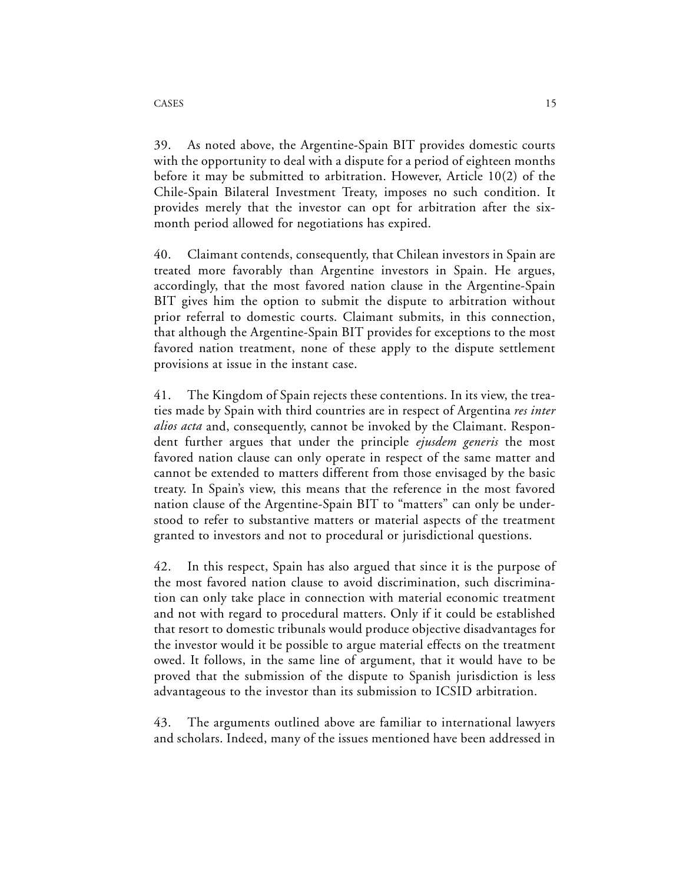39. As noted above, the Argentine-Spain BIT provides domestic courts with the opportunity to deal with a dispute for a period of eighteen months before it may be submitted to arbitration. However, Article 10(2) of the Chile-Spain Bilateral Investment Treaty, imposes no such condition. It provides merely that the investor can opt for arbitration after the sixmonth period allowed for negotiations has expired.

40. Claimant contends, consequently, that Chilean investors in Spain are treated more favorably than Argentine investors in Spain. He argues, accordingly, that the most favored nation clause in the Argentine-Spain BIT gives him the option to submit the dispute to arbitration without prior referral to domestic courts. Claimant submits, in this connection, that although the Argentine-Spain BIT provides for exceptions to the most favored nation treatment, none of these apply to the dispute settlement provisions at issue in the instant case.

41. The Kingdom of Spain rejects these contentions. In its view, the treaties made by Spain with third countries are in respect of Argentina *res inter alios acta* and, consequently, cannot be invoked by the Claimant. Respondent further argues that under the principle *ejusdem generis* the most favored nation clause can only operate in respect of the same matter and cannot be extended to matters different from those envisaged by the basic treaty. In Spain's view, this means that the reference in the most favored nation clause of the Argentine-Spain BIT to "matters" can only be understood to refer to substantive matters or material aspects of the treatment granted to investors and not to procedural or jurisdictional questions.

42. In this respect, Spain has also argued that since it is the purpose of the most favored nation clause to avoid discrimination, such discrimination can only take place in connection with material economic treatment and not with regard to procedural matters. Only if it could be established that resort to domestic tribunals would produce objective disadvantages for the investor would it be possible to argue material effects on the treatment owed. It follows, in the same line of argument, that it would have to be proved that the submission of the dispute to Spanish jurisdiction is less advantageous to the investor than its submission to ICSID arbitration.

43. The arguments outlined above are familiar to international lawyers and scholars. Indeed, many of the issues mentioned have been addressed in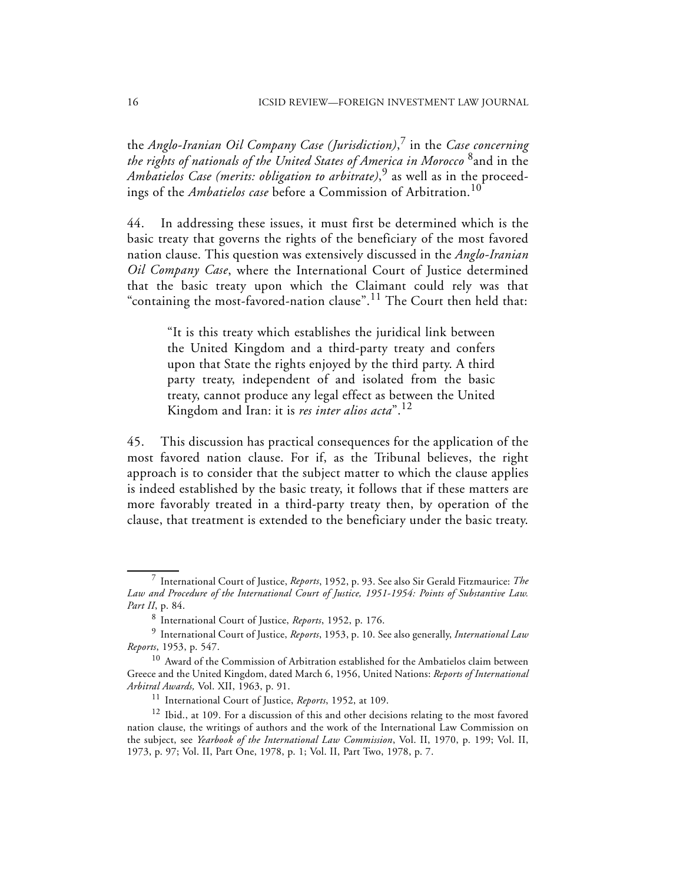the *Anglo-Iranian Oil Company Case (Jurisdiction)*, 7 in the *Case concerning the rights of nationals of the United States of America in Morocco* 8and in the *Ambatielos Case (merits: obligation to arbitrate)*, 9 as well as in the proceedings of the *Ambatielos case* before a Commission of Arbitration.<sup>10</sup>

44. In addressing these issues, it must first be determined which is the basic treaty that governs the rights of the beneficiary of the most favored nation clause. This question was extensively discussed in the *Anglo-Iranian Oil Company Case*, where the International Court of Justice determined that the basic treaty upon which the Claimant could rely was that "containing the most-favored-nation clause".11 The Court then held that:

"It is this treaty which establishes the juridical link between the United Kingdom and a third-party treaty and confers upon that State the rights enjoyed by the third party. A third party treaty, independent of and isolated from the basic treaty, cannot produce any legal effect as between the United Kingdom and Iran: it is *res inter alios acta*".<sup>12</sup>

45. This discussion has practical consequences for the application of the most favored nation clause. For if, as the Tribunal believes, the right approach is to consider that the subject matter to which the clause applies is indeed established by the basic treaty, it follows that if these matters are more favorably treated in a third-party treaty then, by operation of the clause, that treatment is extended to the beneficiary under the basic treaty.

<sup>7</sup> International Court of Justice, *Reports*, 1952, p. 93. See also Sir Gerald Fitzmaurice: *The Law and Procedure of the International Court of Justice, 1951-1954: Points of Substantive Law. Part II*, p. 84.

<sup>8</sup> International Court of Justice, *Reports*, 1952, p. 176.

<sup>9</sup> International Court of Justice, *Reports*, 1953, p. 10. See also generally, *International Law Reports*, 1953, p. 547.

 $10$  Award of the Commission of Arbitration established for the Ambatielos claim between Greece and the United Kingdom, dated March 6, 1956, United Nations: *Reports of International Arbitral Awards,* Vol. XII, 1963, p. 91.

<sup>11</sup> International Court of Justice, *Reports*, 1952, at 109.

 $12$  Ibid., at 109. For a discussion of this and other decisions relating to the most favored nation clause, the writings of authors and the work of the International Law Commission on the subject, see *Yearbook of the International Law Commission*, Vol. II, 1970, p. 199; Vol. II, 1973, p. 97; Vol. II, Part One, 1978, p. 1; Vol. II, Part Two, 1978, p. 7.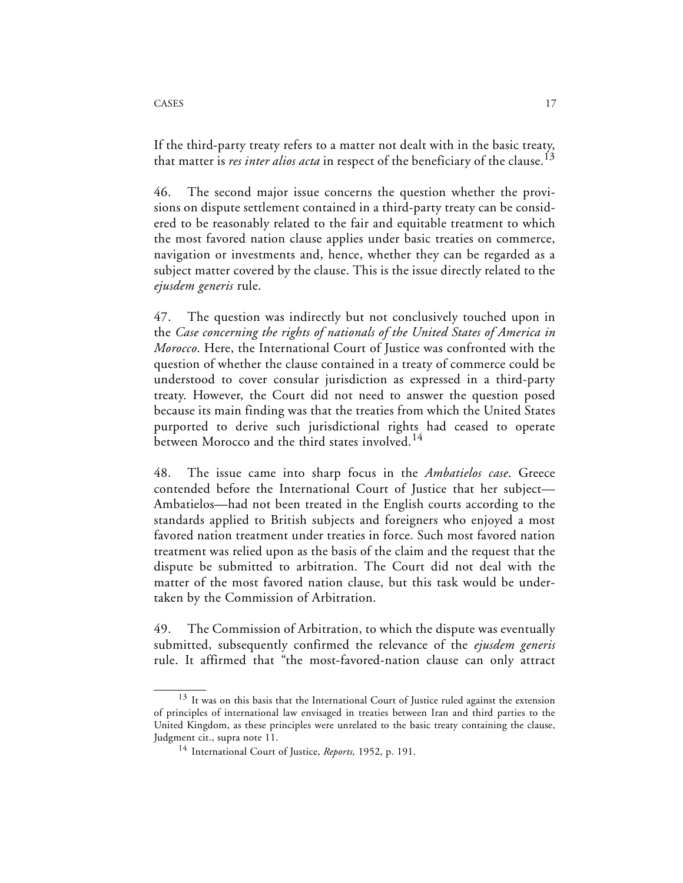If the third-party treaty refers to a matter not dealt with in the basic treaty, that matter is *res inter alios acta* in respect of the beneficiary of the clause.<sup>13</sup>

46. The second major issue concerns the question whether the provisions on dispute settlement contained in a third-party treaty can be considered to be reasonably related to the fair and equitable treatment to which the most favored nation clause applies under basic treaties on commerce, navigation or investments and, hence, whether they can be regarded as a subject matter covered by the clause. This is the issue directly related to the *ejusdem generis* rule.

47. The question was indirectly but not conclusively touched upon in the *Case concerning the rights of nationals of the United States of America in Morocco*. Here, the International Court of Justice was confronted with the question of whether the clause contained in a treaty of commerce could be understood to cover consular jurisdiction as expressed in a third-party treaty. However, the Court did not need to answer the question posed because its main finding was that the treaties from which the United States purported to derive such jurisdictional rights had ceased to operate between Morocco and the third states involved.<sup>14</sup>

48. The issue came into sharp focus in the *Ambatielos case*. Greece contended before the International Court of Justice that her subject— Ambatielos—had not been treated in the English courts according to the standards applied to British subjects and foreigners who enjoyed a most favored nation treatment under treaties in force. Such most favored nation treatment was relied upon as the basis of the claim and the request that the dispute be submitted to arbitration. The Court did not deal with the matter of the most favored nation clause, but this task would be undertaken by the Commission of Arbitration.

49. The Commission of Arbitration, to which the dispute was eventually submitted, subsequently confirmed the relevance of the *ejusdem generis* rule. It affirmed that "the most-favored-nation clause can only attract

<sup>&</sup>lt;sup>13</sup> It was on this basis that the International Court of Justice ruled against the extension of principles of international law envisaged in treaties between Iran and third parties to the United Kingdom, as these principles were unrelated to the basic treaty containing the clause, Judgment cit., supra note 11.

<sup>14</sup> International Court of Justice, *Reports,* 1952, p. 191.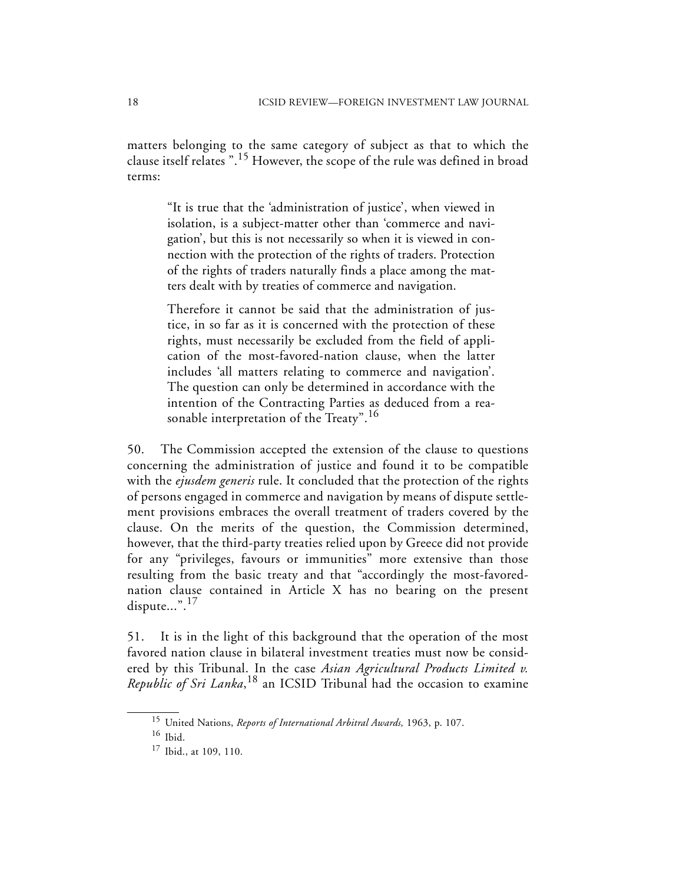matters belonging to the same category of subject as that to which the clause itself relates ".15 However, the scope of the rule was defined in broad terms:

"It is true that the 'administration of justice', when viewed in isolation, is a subject-matter other than 'commerce and navigation', but this is not necessarily so when it is viewed in connection with the protection of the rights of traders. Protection of the rights of traders naturally finds a place among the matters dealt with by treaties of commerce and navigation.

Therefore it cannot be said that the administration of justice, in so far as it is concerned with the protection of these rights, must necessarily be excluded from the field of application of the most-favored-nation clause, when the latter includes 'all matters relating to commerce and navigation'. The question can only be determined in accordance with the intention of the Contracting Parties as deduced from a reasonable interpretation of the Treaty".<sup>16</sup>

50. The Commission accepted the extension of the clause to questions concerning the administration of justice and found it to be compatible with the *ejusdem generis* rule. It concluded that the protection of the rights of persons engaged in commerce and navigation by means of dispute settlement provisions embraces the overall treatment of traders covered by the clause. On the merits of the question, the Commission determined, however, that the third-party treaties relied upon by Greece did not provide for any "privileges, favours or immunities" more extensive than those resulting from the basic treaty and that "accordingly the most-favorednation clause contained in Article X has no bearing on the present dispute...". $^{17}$ 

51. It is in the light of this background that the operation of the most favored nation clause in bilateral investment treaties must now be considered by this Tribunal. In the case *Asian Agricultural Products Limited v. Republic of Sri Lanka*, 18 an ICSID Tribunal had the occasion to examine

<sup>15</sup> United Nations, *Reports of International Arbitral Awards,* 1963, p. 107.

 $16$  Ibid.

<sup>17</sup> Ibid., at 109, 110.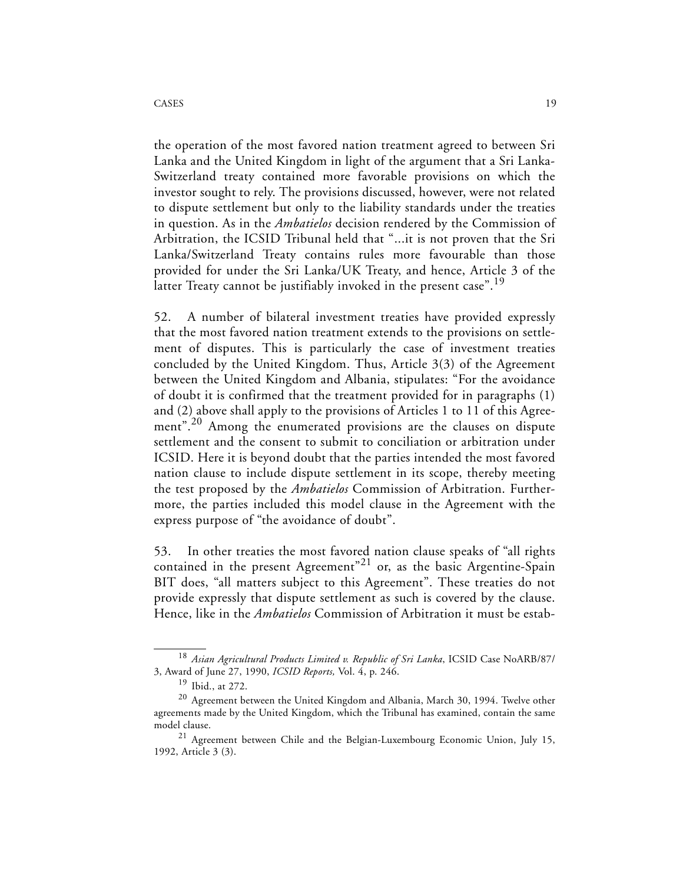the operation of the most favored nation treatment agreed to between Sri Lanka and the United Kingdom in light of the argument that a Sri Lanka-Switzerland treaty contained more favorable provisions on which the investor sought to rely. The provisions discussed, however, were not related to dispute settlement but only to the liability standards under the treaties in question. As in the *Ambatielos* decision rendered by the Commission of Arbitration, the ICSID Tribunal held that "...it is not proven that the Sri Lanka/Switzerland Treaty contains rules more favourable than those provided for under the Sri Lanka/UK Treaty, and hence, Article 3 of the latter Treaty cannot be justifiably invoked in the present case".<sup>19</sup>

52. A number of bilateral investment treaties have provided expressly that the most favored nation treatment extends to the provisions on settlement of disputes. This is particularly the case of investment treaties concluded by the United Kingdom. Thus, Article 3(3) of the Agreement between the United Kingdom and Albania, stipulates: "For the avoidance of doubt it is confirmed that the treatment provided for in paragraphs (1) and (2) above shall apply to the provisions of Articles 1 to 11 of this Agreement".<sup>20</sup> Among the enumerated provisions are the clauses on dispute settlement and the consent to submit to conciliation or arbitration under ICSID. Here it is beyond doubt that the parties intended the most favored nation clause to include dispute settlement in its scope, thereby meeting the test proposed by the *Ambatielos* Commission of Arbitration. Furthermore, the parties included this model clause in the Agreement with the express purpose of "the avoidance of doubt".

53. In other treaties the most favored nation clause speaks of "all rights contained in the present Agreement<sup>"21</sup> or, as the basic Argentine-Spain BIT does, "all matters subject to this Agreement". These treaties do not provide expressly that dispute settlement as such is covered by the clause. Hence, like in the *Ambatielos* Commission of Arbitration it must be estab-

<sup>18</sup> *Asian Agricultural Products Limited v. Republic of Sri Lanka*, ICSID Case NoARB/87/ 3, Award of June 27, 1990, *ICSID Reports,* Vol. 4, p. 246.

<sup>19</sup> Ibid., at 272.

<sup>&</sup>lt;sup>20</sup> Agreement between the United Kingdom and Albania, March 30, 1994. Twelve other agreements made by the United Kingdom, which the Tribunal has examined, contain the same model clause.

<sup>&</sup>lt;sup>21</sup> Agreement between Chile and the Belgian-Luxembourg Economic Union, July 15, 1992, Article 3 (3).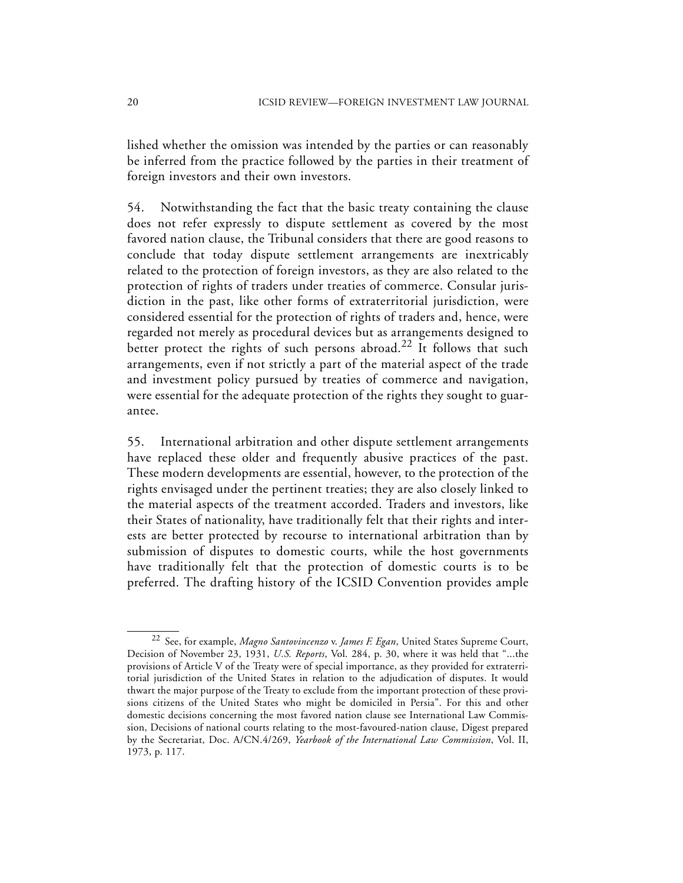lished whether the omission was intended by the parties or can reasonably be inferred from the practice followed by the parties in their treatment of foreign investors and their own investors.

54. Notwithstanding the fact that the basic treaty containing the clause does not refer expressly to dispute settlement as covered by the most favored nation clause, the Tribunal considers that there are good reasons to conclude that today dispute settlement arrangements are inextricably related to the protection of foreign investors, as they are also related to the protection of rights of traders under treaties of commerce. Consular jurisdiction in the past, like other forms of extraterritorial jurisdiction, were considered essential for the protection of rights of traders and, hence, were regarded not merely as procedural devices but as arrangements designed to better protect the rights of such persons abroad.<sup>22</sup> It follows that such arrangements, even if not strictly a part of the material aspect of the trade and investment policy pursued by treaties of commerce and navigation, were essential for the adequate protection of the rights they sought to guarantee.

55. International arbitration and other dispute settlement arrangements have replaced these older and frequently abusive practices of the past. These modern developments are essential, however, to the protection of the rights envisaged under the pertinent treaties; they are also closely linked to the material aspects of the treatment accorded. Traders and investors, like their States of nationality, have traditionally felt that their rights and interests are better protected by recourse to international arbitration than by submission of disputes to domestic courts, while the host governments have traditionally felt that the protection of domestic courts is to be preferred. The drafting history of the ICSID Convention provides ample

<sup>22</sup> See, for example, *Magno Santovincenzo* v. *James F. Egan*, United States Supreme Court, Decision of November 23, 1931, *U.S. Reports*, Vol. 284, p. 30, where it was held that "...the provisions of Article V of the Treaty were of special importance, as they provided for extraterritorial jurisdiction of the United States in relation to the adjudication of disputes. It would thwart the major purpose of the Treaty to exclude from the important protection of these provisions citizens of the United States who might be domiciled in Persia". For this and other domestic decisions concerning the most favored nation clause see International Law Commission, Decisions of national courts relating to the most-favoured-nation clause, Digest prepared by the Secretariat, Doc. A/CN.4/269, *Yearbook of the International Law Commission*, Vol. II, 1973, p. 117.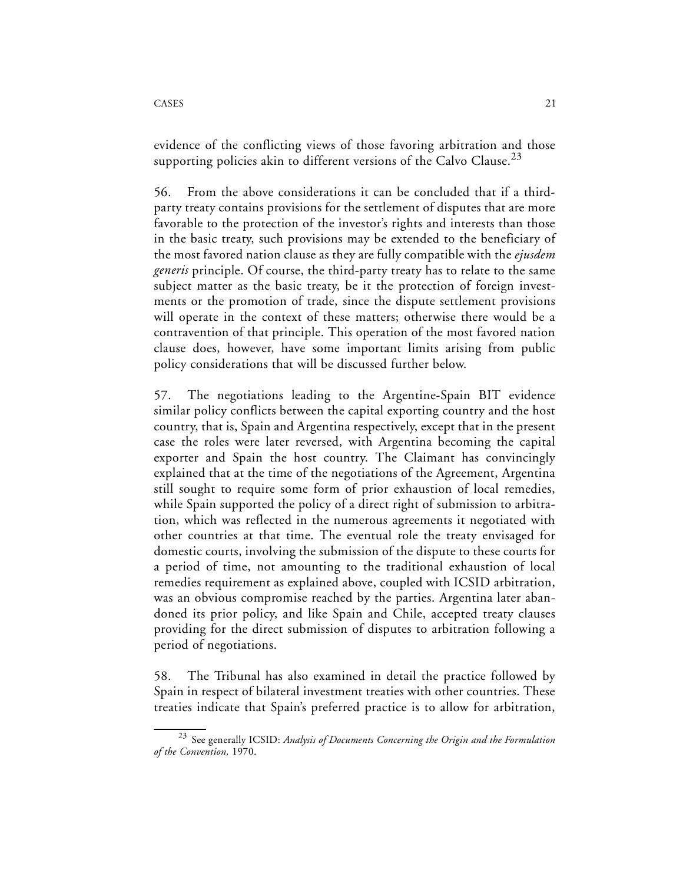evidence of the conflicting views of those favoring arbitration and those supporting policies akin to different versions of the Calvo Clause.<sup>23</sup>

56. From the above considerations it can be concluded that if a thirdparty treaty contains provisions for the settlement of disputes that are more favorable to the protection of the investor's rights and interests than those in the basic treaty, such provisions may be extended to the beneficiary of the most favored nation clause as they are fully compatible with the *ejusdem generis* principle. Of course, the third-party treaty has to relate to the same subject matter as the basic treaty, be it the protection of foreign investments or the promotion of trade, since the dispute settlement provisions will operate in the context of these matters; otherwise there would be a contravention of that principle. This operation of the most favored nation clause does, however, have some important limits arising from public policy considerations that will be discussed further below.

57. The negotiations leading to the Argentine-Spain BIT evidence similar policy conflicts between the capital exporting country and the host country, that is, Spain and Argentina respectively, except that in the present case the roles were later reversed, with Argentina becoming the capital exporter and Spain the host country. The Claimant has convincingly explained that at the time of the negotiations of the Agreement, Argentina still sought to require some form of prior exhaustion of local remedies, while Spain supported the policy of a direct right of submission to arbitration, which was reflected in the numerous agreements it negotiated with other countries at that time. The eventual role the treaty envisaged for domestic courts, involving the submission of the dispute to these courts for a period of time, not amounting to the traditional exhaustion of local remedies requirement as explained above, coupled with ICSID arbitration, was an obvious compromise reached by the parties. Argentina later abandoned its prior policy, and like Spain and Chile, accepted treaty clauses providing for the direct submission of disputes to arbitration following a period of negotiations.

58. The Tribunal has also examined in detail the practice followed by Spain in respect of bilateral investment treaties with other countries. These treaties indicate that Spain's preferred practice is to allow for arbitration,

<sup>23</sup> See generally ICSID: *Analysis of Documents Concerning the Origin and the Formulation of the Convention,* 1970.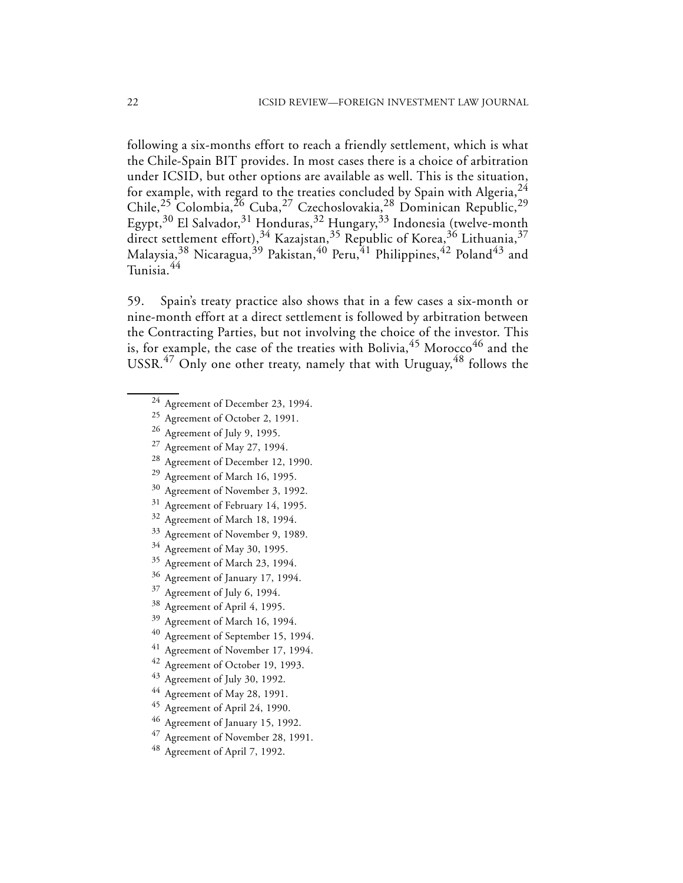following a six-months effort to reach a friendly settlement, which is what the Chile-Spain BIT provides. In most cases there is a choice of arbitration under ICSID, but other options are available as well. This is the situation, for example, with regard to the treaties concluded by Spain with Algeria,  $^{24}$ Chile,<sup>25</sup> Colombia,<sup>26</sup> Cuba,<sup>27</sup> Czechoslovakia,<sup>28</sup> Dominican Republic,<sup>29</sup> Egypt, $^{30}$  El Salvador, $^{31}$  Honduras, $^{32}$  Hungary, $^{33}$  Indonesia (twelve-month direct settlement effort),  $3^3$  Kazajstan,  $3^5$  Republic of Korea,  $3^6$  Lithuania,  $3^7$ Malaysia, $^{38}$  Nicaragua, $^{39}$  Pakistan, $^{40}$  Peru, $^{41}$  Philippines, $^{42}$  Poland $^{43}$  and Tunisia.<sup>44</sup>

59. Spain's treaty practice also shows that in a few cases a six-month or nine-month effort at a direct settlement is followed by arbitration between the Contracting Parties, but not involving the choice of the investor. This is, for example, the case of the treaties with Bolivia, Morocco<sup>46</sup> and the USSR. Only one other treaty, namely that with Uruguay,  $48$  follows the

- Agreement of July 9, 1995.
- Agreement of May 27, 1994.
- Agreement of December 12, 1990.
- Agreement of March 16, 1995.
- Agreement of November 3, 1992.
- Agreement of February 14, 1995.
- Agreement of March 18, 1994.
- Agreement of November 9, 1989.
- Agreement of May 30, 1995.
- Agreement of March 23, 1994.
- Agreement of January 17, 1994.

- Agreement of April 4, 1995.
- Agreement of March 16, 1994.
- Agreement of September 15, 1994.
- Agreement of November 17, 1994.
- Agreement of October 19, 1993.
- Agreement of July 30, 1992.
- Agreement of May 28, 1991.
- Agreement of April 24, 1990.
- Agreement of January 15, 1992.
- Agreement of November 28, 1991.
- Agreement of April 7, 1992.

Agreement of December 23, 1994.

Agreement of October 2, 1991.

Agreement of July 6, 1994.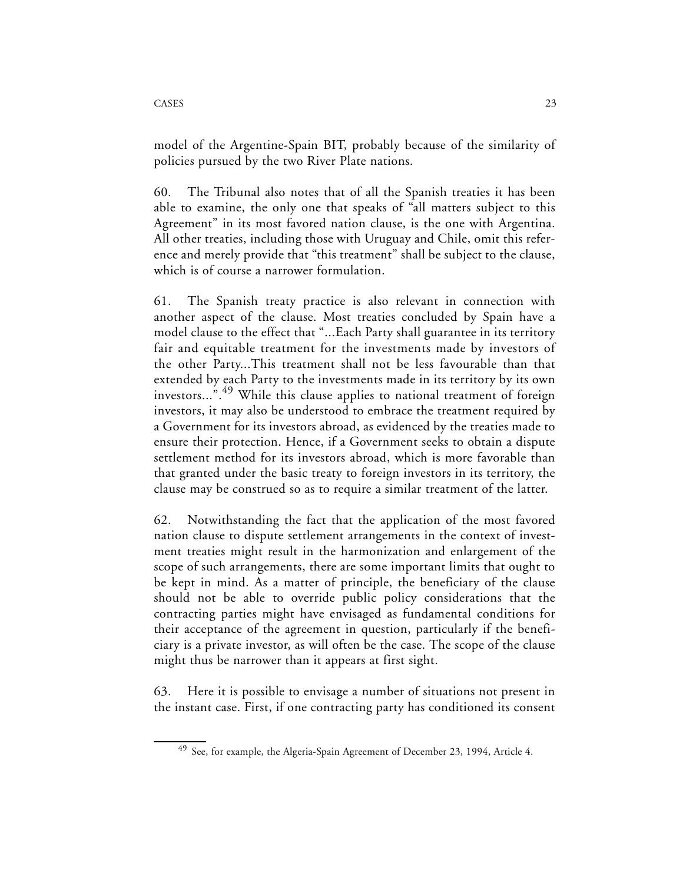#### CASES 23

model of the Argentine-Spain BIT, probably because of the similarity of policies pursued by the two River Plate nations.

60. The Tribunal also notes that of all the Spanish treaties it has been able to examine, the only one that speaks of "all matters subject to this Agreement" in its most favored nation clause, is the one with Argentina. All other treaties, including those with Uruguay and Chile, omit this reference and merely provide that "this treatment" shall be subject to the clause, which is of course a narrower formulation.

61. The Spanish treaty practice is also relevant in connection with another aspect of the clause. Most treaties concluded by Spain have a model clause to the effect that "...Each Party shall guarantee in its territory fair and equitable treatment for the investments made by investors of the other Party...This treatment shall not be less favourable than that extended by each Party to the investments made in its territory by its own investors...".<sup>49</sup> While this clause applies to national treatment of foreign investors, it may also be understood to embrace the treatment required by a Government for its investors abroad, as evidenced by the treaties made to ensure their protection. Hence, if a Government seeks to obtain a dispute settlement method for its investors abroad, which is more favorable than that granted under the basic treaty to foreign investors in its territory, the clause may be construed so as to require a similar treatment of the latter.

62. Notwithstanding the fact that the application of the most favored nation clause to dispute settlement arrangements in the context of investment treaties might result in the harmonization and enlargement of the scope of such arrangements, there are some important limits that ought to be kept in mind. As a matter of principle, the beneficiary of the clause should not be able to override public policy considerations that the contracting parties might have envisaged as fundamental conditions for their acceptance of the agreement in question, particularly if the beneficiary is a private investor, as will often be the case. The scope of the clause might thus be narrower than it appears at first sight.

63. Here it is possible to envisage a number of situations not present in the instant case. First, if one contracting party has conditioned its consent

<sup>49</sup> See, for example, the Algeria-Spain Agreement of December 23, 1994, Article 4.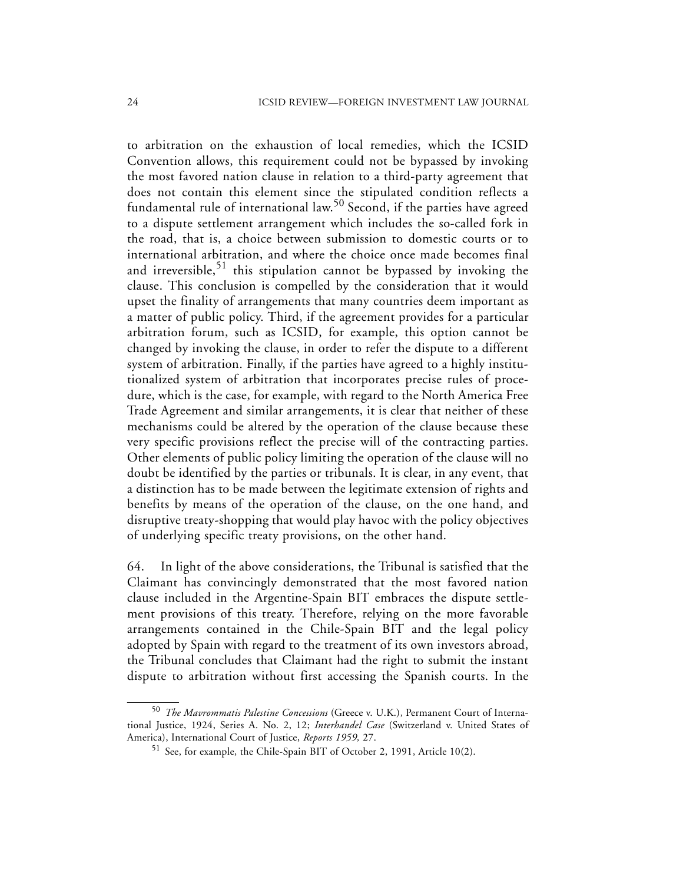to arbitration on the exhaustion of local remedies, which the ICSID Convention allows, this requirement could not be bypassed by invoking the most favored nation clause in relation to a third-party agreement that does not contain this element since the stipulated condition reflects a fundamental rule of international law.<sup>50</sup> Second, if the parties have agreed to a dispute settlement arrangement which includes the so-called fork in the road, that is, a choice between submission to domestic courts or to international arbitration, and where the choice once made becomes final and irreversible,<sup>51</sup> this stipulation cannot be bypassed by invoking the clause. This conclusion is compelled by the consideration that it would upset the finality of arrangements that many countries deem important as a matter of public policy. Third, if the agreement provides for a particular arbitration forum, such as ICSID, for example, this option cannot be changed by invoking the clause, in order to refer the dispute to a different system of arbitration. Finally, if the parties have agreed to a highly institutionalized system of arbitration that incorporates precise rules of procedure, which is the case, for example, with regard to the North America Free Trade Agreement and similar arrangements, it is clear that neither of these mechanisms could be altered by the operation of the clause because these very specific provisions reflect the precise will of the contracting parties. Other elements of public policy limiting the operation of the clause will no doubt be identified by the parties or tribunals. It is clear, in any event, that a distinction has to be made between the legitimate extension of rights and benefits by means of the operation of the clause, on the one hand, and disruptive treaty-shopping that would play havoc with the policy objectives of underlying specific treaty provisions, on the other hand.

64. In light of the above considerations, the Tribunal is satisfied that the Claimant has convincingly demonstrated that the most favored nation clause included in the Argentine-Spain BIT embraces the dispute settlement provisions of this treaty. Therefore, relying on the more favorable arrangements contained in the Chile-Spain BIT and the legal policy adopted by Spain with regard to the treatment of its own investors abroad, the Tribunal concludes that Claimant had the right to submit the instant dispute to arbitration without first accessing the Spanish courts. In the

<sup>50</sup> *The Mavrommatis Palestine Concessions* (Greece v. U.K.), Permanent Court of International Justice, 1924, Series A. No. 2, 12; *Interhandel Case* (Switzerland v. United States of America), International Court of Justice, *Reports 1959,* 27.

<sup>51</sup> See, for example, the Chile-Spain BIT of October 2, 1991, Article 10(2).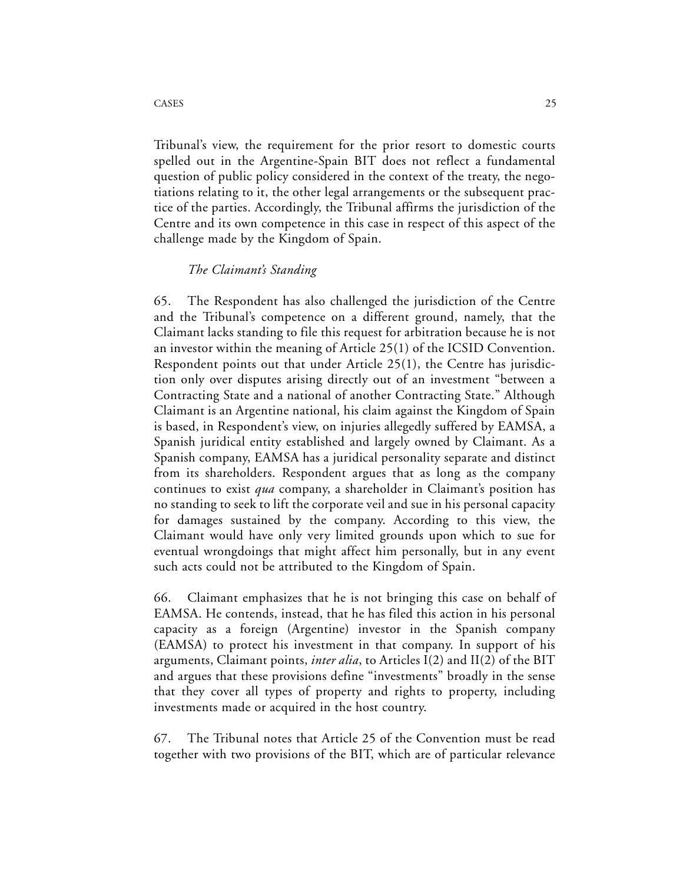#### CASES 25

Tribunal's view, the requirement for the prior resort to domestic courts spelled out in the Argentine-Spain BIT does not reflect a fundamental question of public policy considered in the context of the treaty, the negotiations relating to it, the other legal arrangements or the subsequent practice of the parties. Accordingly, the Tribunal affirms the jurisdiction of the Centre and its own competence in this case in respect of this aspect of the challenge made by the Kingdom of Spain.

### *The Claimant's Standing*

65. The Respondent has also challenged the jurisdiction of the Centre and the Tribunal's competence on a different ground, namely, that the Claimant lacks standing to file this request for arbitration because he is not an investor within the meaning of Article 25(1) of the ICSID Convention. Respondent points out that under Article 25(1), the Centre has jurisdiction only over disputes arising directly out of an investment "between a Contracting State and a national of another Contracting State." Although Claimant is an Argentine national, his claim against the Kingdom of Spain is based, in Respondent's view, on injuries allegedly suffered by EAMSA, a Spanish juridical entity established and largely owned by Claimant. As a Spanish company, EAMSA has a juridical personality separate and distinct from its shareholders. Respondent argues that as long as the company continues to exist *qua* company, a shareholder in Claimant's position has no standing to seek to lift the corporate veil and sue in his personal capacity for damages sustained by the company. According to this view, the Claimant would have only very limited grounds upon which to sue for eventual wrongdoings that might affect him personally, but in any event such acts could not be attributed to the Kingdom of Spain.

66. Claimant emphasizes that he is not bringing this case on behalf of EAMSA. He contends, instead, that he has filed this action in his personal capacity as a foreign (Argentine) investor in the Spanish company (EAMSA) to protect his investment in that company. In support of his arguments, Claimant points, *inter alia*, to Articles I(2) and II(2) of the BIT and argues that these provisions define "investments" broadly in the sense that they cover all types of property and rights to property, including investments made or acquired in the host country.

67. The Tribunal notes that Article 25 of the Convention must be read together with two provisions of the BIT, which are of particular relevance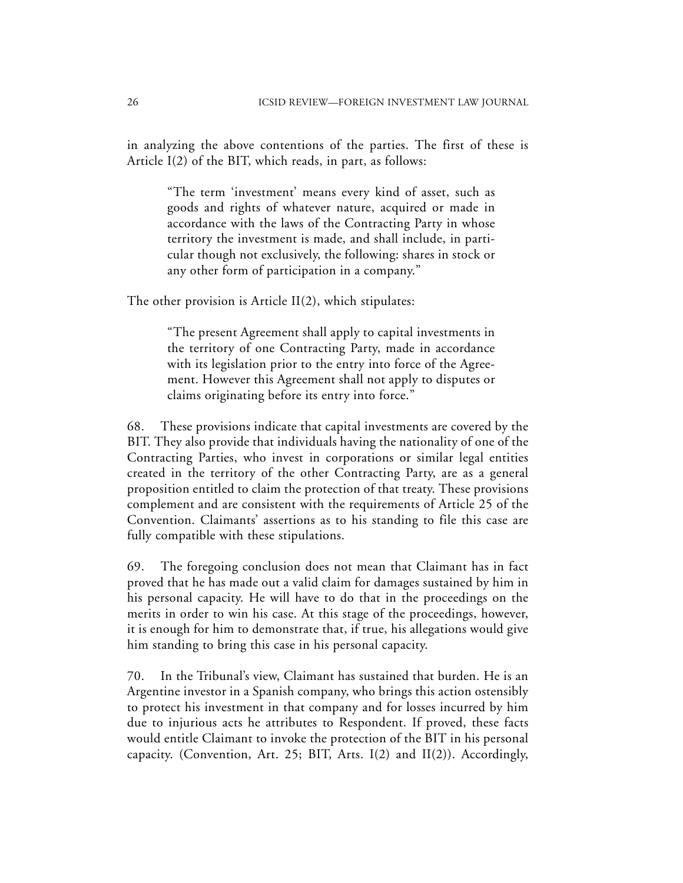in analyzing the above contentions of the parties. The first of these is Article I(2) of the BIT, which reads, in part, as follows:

"The term 'investment' means every kind of asset, such as goods and rights of whatever nature, acquired or made in accordance with the laws of the Contracting Party in whose territory the investment is made, and shall include, in particular though not exclusively, the following: shares in stock or any other form of participation in a company."

The other provision is Article II(2), which stipulates:

"The present Agreement shall apply to capital investments in the territory of one Contracting Party, made in accordance with its legislation prior to the entry into force of the Agreement. However this Agreement shall not apply to disputes or claims originating before its entry into force."

68. These provisions indicate that capital investments are covered by the BIT. They also provide that individuals having the nationality of one of the Contracting Parties, who invest in corporations or similar legal entities created in the territory of the other Contracting Party, are as a general proposition entitled to claim the protection of that treaty. These provisions complement and are consistent with the requirements of Article 25 of the Convention. Claimants' assertions as to his standing to file this case are fully compatible with these stipulations.

69. The foregoing conclusion does not mean that Claimant has in fact proved that he has made out a valid claim for damages sustained by him in his personal capacity. He will have to do that in the proceedings on the merits in order to win his case. At this stage of the proceedings, however, it is enough for him to demonstrate that, if true, his allegations would give him standing to bring this case in his personal capacity.

70. In the Tribunal's view, Claimant has sustained that burden. He is an Argentine investor in a Spanish company, who brings this action ostensibly to protect his investment in that company and for losses incurred by him due to injurious acts he attributes to Respondent. If proved, these facts would entitle Claimant to invoke the protection of the BIT in his personal capacity. (Convention, Art. 25; BIT, Arts. I(2) and II(2)). Accordingly,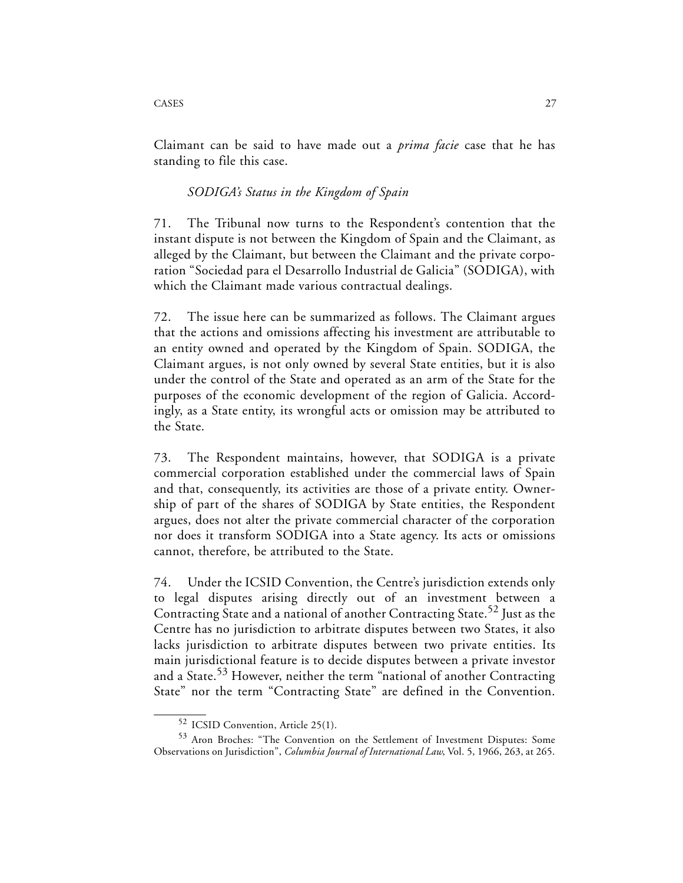Claimant can be said to have made out a *prima facie* case that he has standing to file this case.

#### *SODIGA's Status in the Kingdom of Spain*

71. The Tribunal now turns to the Respondent's contention that the instant dispute is not between the Kingdom of Spain and the Claimant, as alleged by the Claimant, but between the Claimant and the private corporation "Sociedad para el Desarrollo Industrial de Galicia" (SODIGA), with which the Claimant made various contractual dealings.

72. The issue here can be summarized as follows. The Claimant argues that the actions and omissions affecting his investment are attributable to an entity owned and operated by the Kingdom of Spain. SODIGA, the Claimant argues, is not only owned by several State entities, but it is also under the control of the State and operated as an arm of the State for the purposes of the economic development of the region of Galicia. Accordingly, as a State entity, its wrongful acts or omission may be attributed to the State.

73. The Respondent maintains, however, that SODIGA is a private commercial corporation established under the commercial laws of Spain and that, consequently, its activities are those of a private entity. Ownership of part of the shares of SODIGA by State entities, the Respondent argues, does not alter the private commercial character of the corporation nor does it transform SODIGA into a State agency. Its acts or omissions cannot, therefore, be attributed to the State.

74. Under the ICSID Convention, the Centre's jurisdiction extends only to legal disputes arising directly out of an investment between a Contracting State and a national of another Contracting State.<sup>52</sup> Just as the Centre has no jurisdiction to arbitrate disputes between two States, it also lacks jurisdiction to arbitrate disputes between two private entities. Its main jurisdictional feature is to decide disputes between a private investor and a State.<sup>53</sup> However, neither the term "national of another Contracting State" nor the term "Contracting State" are defined in the Convention.

<sup>52</sup> ICSID Convention, Article 25(1).

<sup>53</sup> Aron Broches: "The Convention on the Settlement of Investment Disputes: Some Observations on Jurisdiction", *Columbia Journal of International Law*, Vol. 5, 1966, 263, at 265.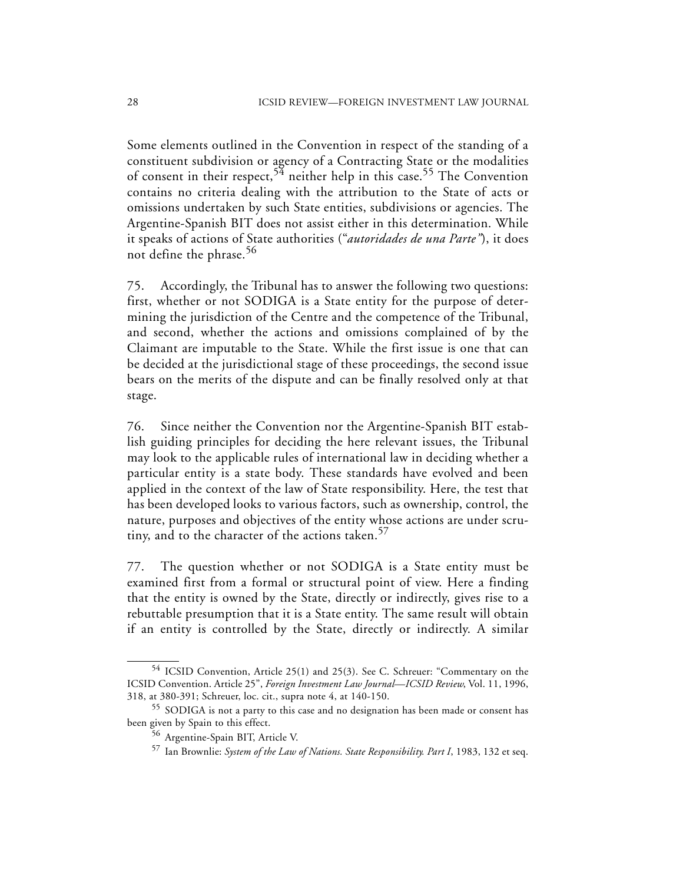Some elements outlined in the Convention in respect of the standing of a constituent subdivision or agency of a Contracting State or the modalities of consent in their respect,  $54$  neither help in this case.  $55$  The Convention contains no criteria dealing with the attribution to the State of acts or omissions undertaken by such State entities, subdivisions or agencies. The Argentine-Spanish BIT does not assist either in this determination. While it speaks of actions of State authorities ("*autoridades de una Parte"*), it does not define the phrase.<sup>56</sup>

75. Accordingly, the Tribunal has to answer the following two questions: first, whether or not SODIGA is a State entity for the purpose of determining the jurisdiction of the Centre and the competence of the Tribunal, and second, whether the actions and omissions complained of by the Claimant are imputable to the State. While the first issue is one that can be decided at the jurisdictional stage of these proceedings, the second issue bears on the merits of the dispute and can be finally resolved only at that stage.

76. Since neither the Convention nor the Argentine-Spanish BIT establish guiding principles for deciding the here relevant issues, the Tribunal may look to the applicable rules of international law in deciding whether a particular entity is a state body. These standards have evolved and been applied in the context of the law of State responsibility. Here, the test that has been developed looks to various factors, such as ownership, control, the nature, purposes and objectives of the entity whose actions are under scrutiny, and to the character of the actions taken. $57$ 

77. The question whether or not SODIGA is a State entity must be examined first from a formal or structural point of view. Here a finding that the entity is owned by the State, directly or indirectly, gives rise to a rebuttable presumption that it is a State entity. The same result will obtain if an entity is controlled by the State, directly or indirectly. A similar

<sup>54</sup> ICSID Convention, Article 25(1) and 25(3). See C. Schreuer: "Commentary on the ICSID Convention. Article 25", *Foreign Investment Law Journal—ICSID Review*, Vol. 11, 1996, 318, at 380-391; Schreuer, loc. cit., supra note 4, at 140-150.

<sup>55</sup> SODIGA is not a party to this case and no designation has been made or consent has been given by Spain to this effect.

<sup>56</sup> Argentine-Spain BIT, Article V.

<sup>57</sup> Ian Brownlie: *System of the Law of Nations. State Responsibility. Part I*, 1983, 132 et seq.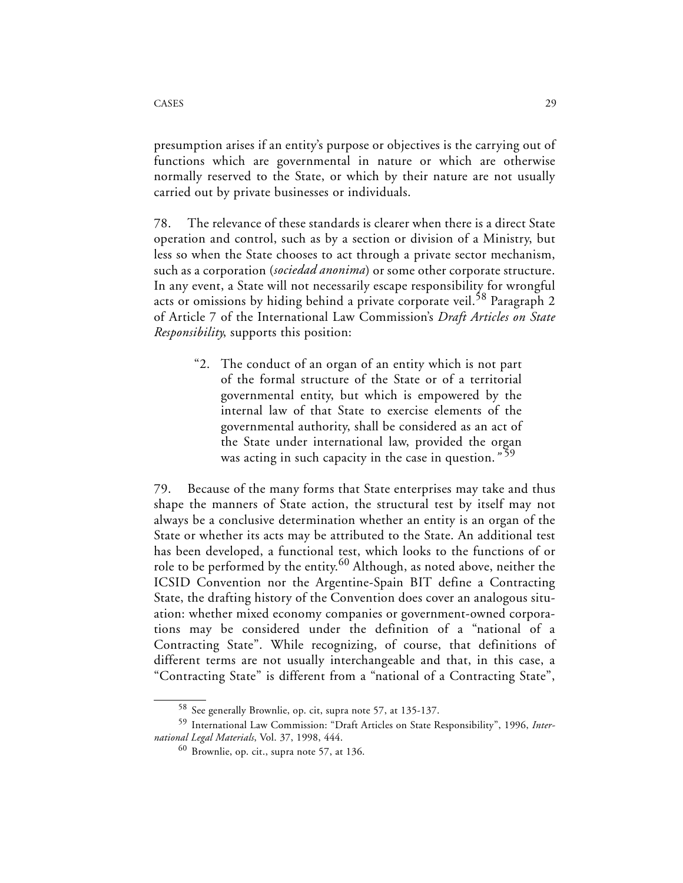presumption arises if an entity's purpose or objectives is the carrying out of functions which are governmental in nature or which are otherwise normally reserved to the State, or which by their nature are not usually carried out by private businesses or individuals.

78. The relevance of these standards is clearer when there is a direct State operation and control, such as by a section or division of a Ministry, but less so when the State chooses to act through a private sector mechanism, such as a corporation (*sociedad anonima*) or some other corporate structure. In any event, a State will not necessarily escape responsibility for wrongful acts or omissions by hiding behind a private corporate veil.<sup>58</sup> Paragraph 2 of Article 7 of the International Law Commission's *Draft Articles on State Responsibility*, supports this position:

> "2. The conduct of an organ of an entity which is not part of the formal structure of the State or of a territorial governmental entity, but which is empowered by the internal law of that State to exercise elements of the governmental authority, shall be considered as an act of the State under international law, provided the organ was acting in such capacity in the case in question.*"* <sup>59</sup>

79. Because of the many forms that State enterprises may take and thus shape the manners of State action, the structural test by itself may not always be a conclusive determination whether an entity is an organ of the State or whether its acts may be attributed to the State. An additional test has been developed, a functional test, which looks to the functions of or role to be performed by the entity.<sup>60</sup> Although, as noted above, neither the ICSID Convention nor the Argentine-Spain BIT define a Contracting State, the drafting history of the Convention does cover an analogous situation: whether mixed economy companies or government-owned corporations may be considered under the definition of a "national of a Contracting State". While recognizing, of course, that definitions of different terms are not usually interchangeable and that, in this case, a "Contracting State" is different from a "national of a Contracting State",

<sup>58</sup> See generally Brownlie, op. cit, supra note 57, at 135-137.

<sup>59</sup> International Law Commission: "Draft Articles on State Responsibility", 1996, *International Legal Materials*, Vol. 37, 1998, 444.

 $60$  Brownlie, op. cit., supra note 57, at 136.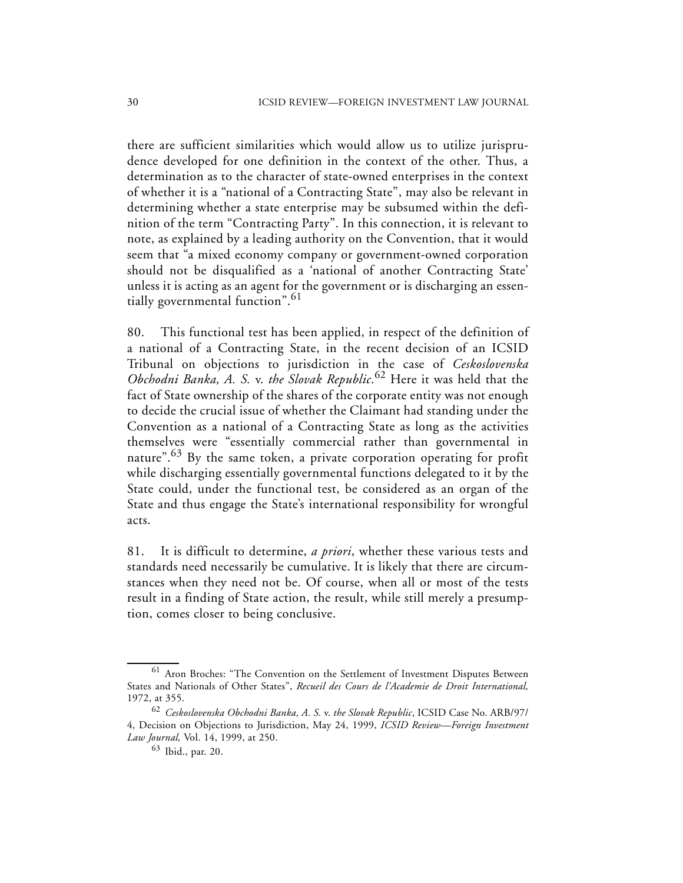there are sufficient similarities which would allow us to utilize jurisprudence developed for one definition in the context of the other. Thus, a determination as to the character of state-owned enterprises in the context of whether it is a "national of a Contracting State", may also be relevant in determining whether a state enterprise may be subsumed within the definition of the term "Contracting Party". In this connection, it is relevant to note, as explained by a leading authority on the Convention, that it would seem that "a mixed economy company or government-owned corporation should not be disqualified as a 'national of another Contracting State' unless it is acting as an agent for the government or is discharging an essentially governmental function".<sup>61</sup>

80. This functional test has been applied, in respect of the definition of a national of a Contracting State, in the recent decision of an ICSID Tribunal on objections to jurisdiction in the case of *Ceskoslovenska Obchodni Banka, A. S.* v. *the Slovak Republic*. 62 Here it was held that the fact of State ownership of the shares of the corporate entity was not enough to decide the crucial issue of whether the Claimant had standing under the Convention as a national of a Contracting State as long as the activities themselves were "essentially commercial rather than governmental in nature".<sup>63</sup> By the same token, a private corporation operating for profit while discharging essentially governmental functions delegated to it by the State could, under the functional test, be considered as an organ of the State and thus engage the State's international responsibility for wrongful acts.

81. It is difficult to determine, *a priori*, whether these various tests and standards need necessarily be cumulative. It is likely that there are circumstances when they need not be. Of course, when all or most of the tests result in a finding of State action, the result, while still merely a presumption, comes closer to being conclusive.

<sup>61</sup> Aron Broches: "The Convention on the Settlement of Investment Disputes Between States and Nationals of Other States", *Recueil des Cours de l'Academie de Droit International,* 1972, at 355.

<sup>62</sup> *Ceskoslovenska Obchodni Banka, A. S.* v. *the Slovak Republic*, ICSID Case No. ARB/97/ 4, Decision on Objections to Jurisdiction, May 24, 1999, *ICSID Review—Foreign Investment Law Journal,* Vol. 14, 1999, at 250.

<sup>63</sup> Ibid., par. 20.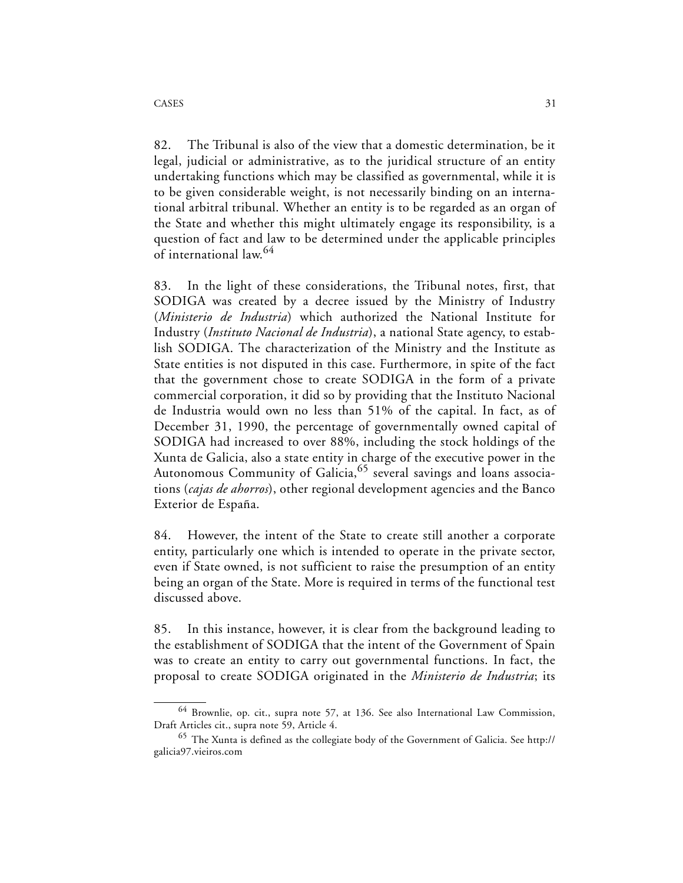82. The Tribunal is also of the view that a domestic determination, be it legal, judicial or administrative, as to the juridical structure of an entity undertaking functions which may be classified as governmental, while it is to be given considerable weight, is not necessarily binding on an international arbitral tribunal. Whether an entity is to be regarded as an organ of the State and whether this might ultimately engage its responsibility, is a question of fact and law to be determined under the applicable principles of international law.<sup>64</sup>

83. In the light of these considerations, the Tribunal notes, first, that SODIGA was created by a decree issued by the Ministry of Industry (*Ministerio de Industria*) which authorized the National Institute for Industry (*Instituto Nacional de Industria*), a national State agency, to establish SODIGA. The characterization of the Ministry and the Institute as State entities is not disputed in this case. Furthermore, in spite of the fact that the government chose to create SODIGA in the form of a private commercial corporation, it did so by providing that the Instituto Nacional de Industria would own no less than 51% of the capital. In fact, as of December 31, 1990, the percentage of governmentally owned capital of SODIGA had increased to over 88%, including the stock holdings of the Xunta de Galicia, also a state entity in charge of the executive power in the Autonomous Community of Galicia,  $65$  several savings and loans associations (*cajas de ahorros*), other regional development agencies and the Banco Exterior de España.

84. However, the intent of the State to create still another a corporate entity, particularly one which is intended to operate in the private sector, even if State owned, is not sufficient to raise the presumption of an entity being an organ of the State. More is required in terms of the functional test discussed above.

85. In this instance, however, it is clear from the background leading to the establishment of SODIGA that the intent of the Government of Spain was to create an entity to carry out governmental functions. In fact, the proposal to create SODIGA originated in the *Ministerio de Industria*; its

<sup>64</sup> Brownlie, op. cit., supra note 57, at 136. See also International Law Commission, Draft Articles cit., supra note 59, Article 4.

<sup>65</sup> The Xunta is defined as the collegiate body of the Government of Galicia. See http:// galicia97.vieiros.com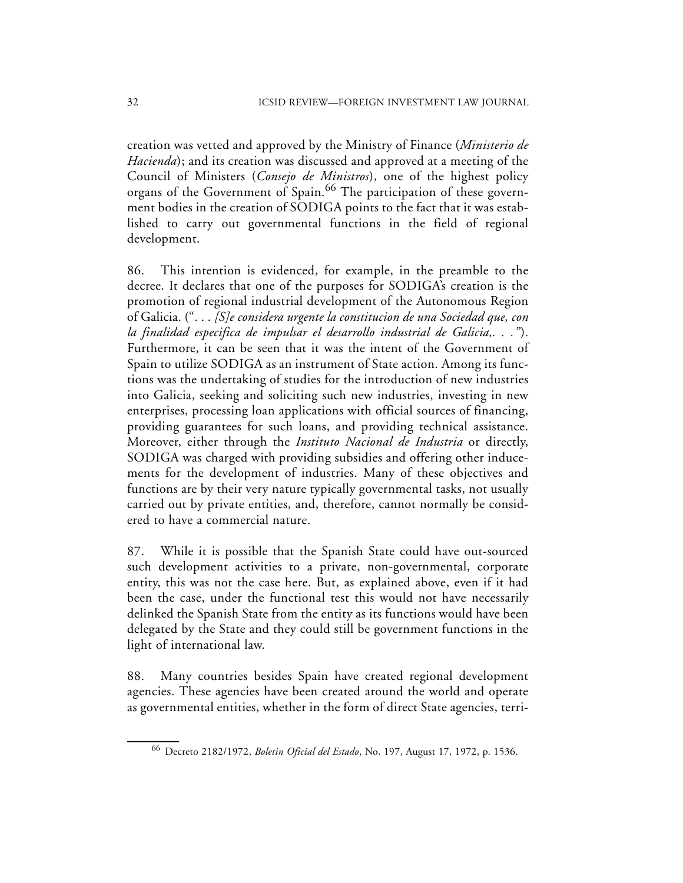creation was vetted and approved by the Ministry of Finance (*Ministerio de Hacienda*); and its creation was discussed and approved at a meeting of the Council of Ministers (*Consejo de Ministros*), one of the highest policy organs of the Government of Spain.<sup>66</sup> The participation of these government bodies in the creation of SODIGA points to the fact that it was established to carry out governmental functions in the field of regional development.

86. This intention is evidenced, for example, in the preamble to the decree. It declares that one of the purposes for SODIGA's creation is the promotion of regional industrial development of the Autonomous Region of Galicia. (". . . *[S]e considera urgente la constitucion de una Sociedad que, con la finalidad especifica de impulsar el desarrollo industrial de Galicia,. . ."*). Furthermore, it can be seen that it was the intent of the Government of Spain to utilize SODIGA as an instrument of State action. Among its functions was the undertaking of studies for the introduction of new industries into Galicia, seeking and soliciting such new industries, investing in new enterprises, processing loan applications with official sources of financing, providing guarantees for such loans, and providing technical assistance. Moreover, either through the *Instituto Nacional de Industria* or directly, SODIGA was charged with providing subsidies and offering other inducements for the development of industries. Many of these objectives and functions are by their very nature typically governmental tasks, not usually carried out by private entities, and, therefore, cannot normally be considered to have a commercial nature.

87. While it is possible that the Spanish State could have out-sourced such development activities to a private, non-governmental, corporate entity, this was not the case here. But, as explained above, even if it had been the case, under the functional test this would not have necessarily delinked the Spanish State from the entity as its functions would have been delegated by the State and they could still be government functions in the light of international law.

88. Many countries besides Spain have created regional development agencies. These agencies have been created around the world and operate as governmental entities, whether in the form of direct State agencies, terri-

<sup>66</sup> Decreto 2182/1972, *Boletin Oficial del Estado*, No. 197, August 17, 1972, p. 1536.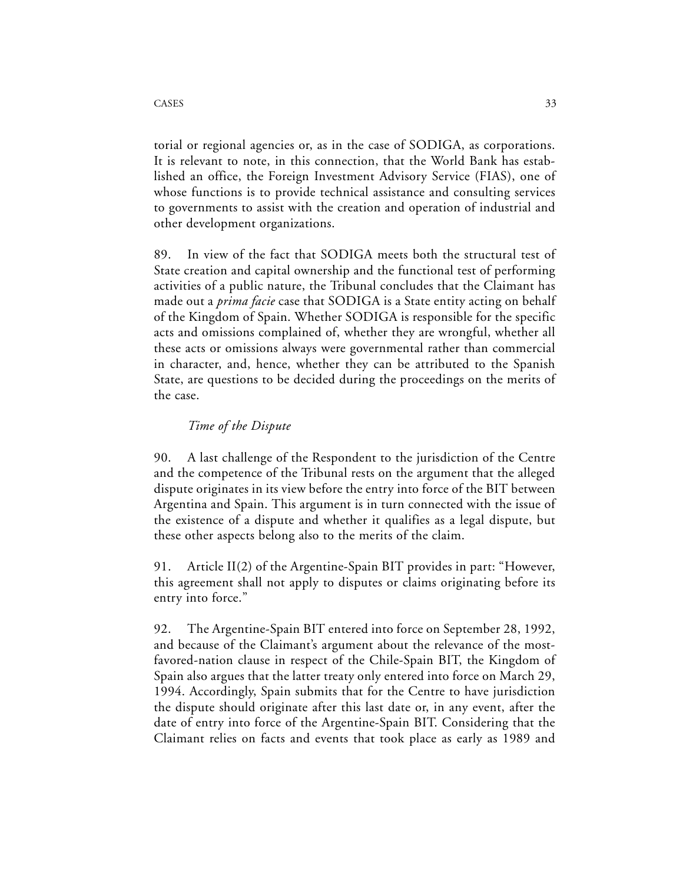torial or regional agencies or, as in the case of SODIGA, as corporations. It is relevant to note, in this connection, that the World Bank has established an office, the Foreign Investment Advisory Service (FIAS), one of whose functions is to provide technical assistance and consulting services to governments to assist with the creation and operation of industrial and other development organizations.

89. In view of the fact that SODIGA meets both the structural test of State creation and capital ownership and the functional test of performing activities of a public nature, the Tribunal concludes that the Claimant has made out a *prima facie* case that SODIGA is a State entity acting on behalf of the Kingdom of Spain. Whether SODIGA is responsible for the specific acts and omissions complained of, whether they are wrongful, whether all these acts or omissions always were governmental rather than commercial in character, and, hence, whether they can be attributed to the Spanish State, are questions to be decided during the proceedings on the merits of the case.

### *Time of the Dispute*

90. A last challenge of the Respondent to the jurisdiction of the Centre and the competence of the Tribunal rests on the argument that the alleged dispute originates in its view before the entry into force of the BIT between Argentina and Spain. This argument is in turn connected with the issue of the existence of a dispute and whether it qualifies as a legal dispute, but these other aspects belong also to the merits of the claim.

91. Article II(2) of the Argentine-Spain BIT provides in part: "However, this agreement shall not apply to disputes or claims originating before its entry into force."

92. The Argentine-Spain BIT entered into force on September 28, 1992, and because of the Claimant's argument about the relevance of the mostfavored-nation clause in respect of the Chile-Spain BIT, the Kingdom of Spain also argues that the latter treaty only entered into force on March 29, 1994. Accordingly, Spain submits that for the Centre to have jurisdiction the dispute should originate after this last date or, in any event, after the date of entry into force of the Argentine-Spain BIT. Considering that the Claimant relies on facts and events that took place as early as 1989 and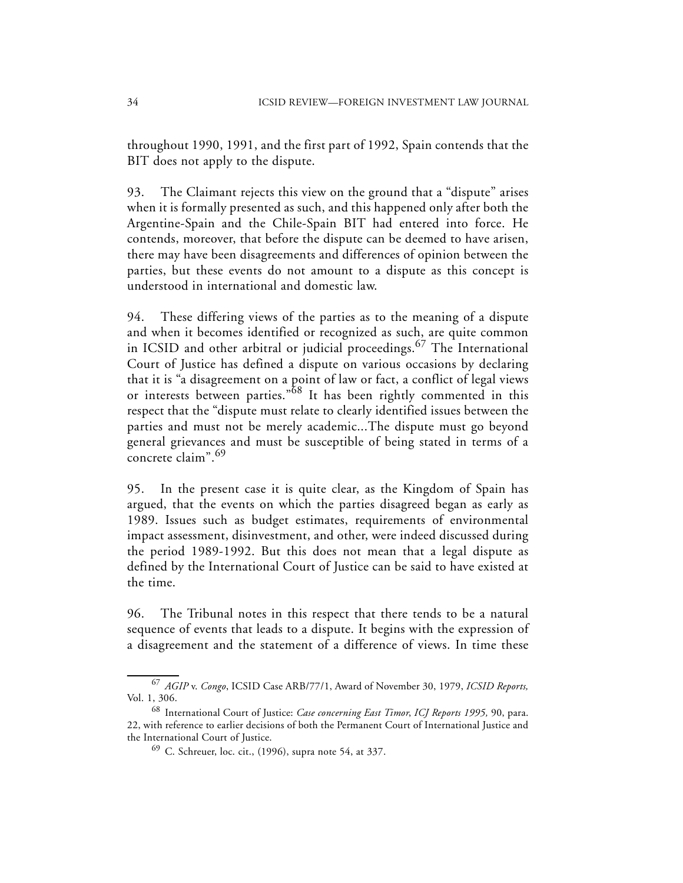throughout 1990, 1991, and the first part of 1992, Spain contends that the BIT does not apply to the dispute.

93. The Claimant rejects this view on the ground that a "dispute" arises when it is formally presented as such, and this happened only after both the Argentine-Spain and the Chile-Spain BIT had entered into force. He contends, moreover, that before the dispute can be deemed to have arisen, there may have been disagreements and differences of opinion between the parties, but these events do not amount to a dispute as this concept is understood in international and domestic law.

94. These differing views of the parties as to the meaning of a dispute and when it becomes identified or recognized as such, are quite common in ICSID and other arbitral or judicial proceedings.<sup>67</sup> The International Court of Justice has defined a dispute on various occasions by declaring that it is "a disagreement on a point of law or fact, a conflict of legal views or interests between parties."68 It has been rightly commented in this respect that the "dispute must relate to clearly identified issues between the parties and must not be merely academic...The dispute must go beyond general grievances and must be susceptible of being stated in terms of a concrete claim".<sup>69</sup>

95. In the present case it is quite clear, as the Kingdom of Spain has argued, that the events on which the parties disagreed began as early as 1989. Issues such as budget estimates, requirements of environmental impact assessment, disinvestment, and other, were indeed discussed during the period 1989-1992. But this does not mean that a legal dispute as defined by the International Court of Justice can be said to have existed at the time.

96. The Tribunal notes in this respect that there tends to be a natural sequence of events that leads to a dispute. It begins with the expression of a disagreement and the statement of a difference of views. In time these

<sup>67</sup> *AGIP* v. *Congo*, ICSID Case ARB/77/1, Award of November 30, 1979, *ICSID Reports,* Vol. 1, 306.

<sup>68</sup> International Court of Justice: *Case concerning East Timor*, *ICJ Reports 1995,* 90, para. 22, with reference to earlier decisions of both the Permanent Court of International Justice and the International Court of Justice.

<sup>&</sup>lt;sup>69</sup> C. Schreuer, loc. cit., (1996), supra note 54, at 337.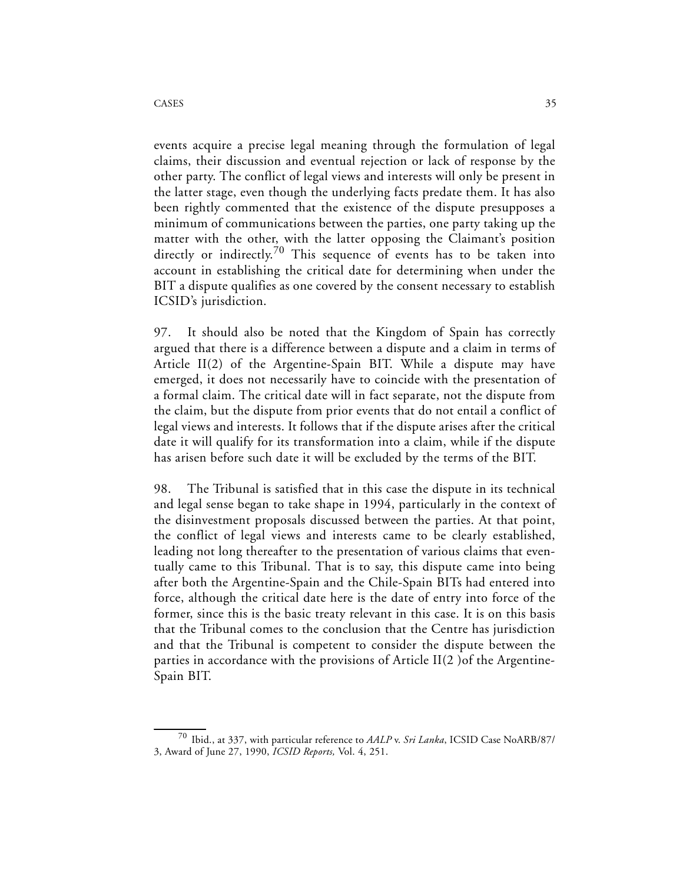events acquire a precise legal meaning through the formulation of legal claims, their discussion and eventual rejection or lack of response by the other party. The conflict of legal views and interests will only be present in the latter stage, even though the underlying facts predate them. It has also been rightly commented that the existence of the dispute presupposes a minimum of communications between the parties, one party taking up the matter with the other, with the latter opposing the Claimant's position directly or indirectly.<sup>70</sup> This sequence of events has to be taken into account in establishing the critical date for determining when under the BIT a dispute qualifies as one covered by the consent necessary to establish ICSID's jurisdiction.

97. It should also be noted that the Kingdom of Spain has correctly argued that there is a difference between a dispute and a claim in terms of Article II(2) of the Argentine-Spain BIT. While a dispute may have emerged, it does not necessarily have to coincide with the presentation of a formal claim. The critical date will in fact separate, not the dispute from the claim, but the dispute from prior events that do not entail a conflict of legal views and interests. It follows that if the dispute arises after the critical date it will qualify for its transformation into a claim, while if the dispute has arisen before such date it will be excluded by the terms of the BIT.

98. The Tribunal is satisfied that in this case the dispute in its technical and legal sense began to take shape in 1994, particularly in the context of the disinvestment proposals discussed between the parties. At that point, the conflict of legal views and interests came to be clearly established, leading not long thereafter to the presentation of various claims that eventually came to this Tribunal. That is to say, this dispute came into being after both the Argentine-Spain and the Chile-Spain BITs had entered into force, although the critical date here is the date of entry into force of the former, since this is the basic treaty relevant in this case. It is on this basis that the Tribunal comes to the conclusion that the Centre has jurisdiction and that the Tribunal is competent to consider the dispute between the parties in accordance with the provisions of Article II(2 )of the Argentine-Spain BIT.

<sup>70</sup> Ibid., at 337, with particular reference to *AALP* v. *Sri Lanka*, ICSID Case NoARB/87/ 3, Award of June 27, 1990, *ICSID Reports,* Vol. 4, 251.